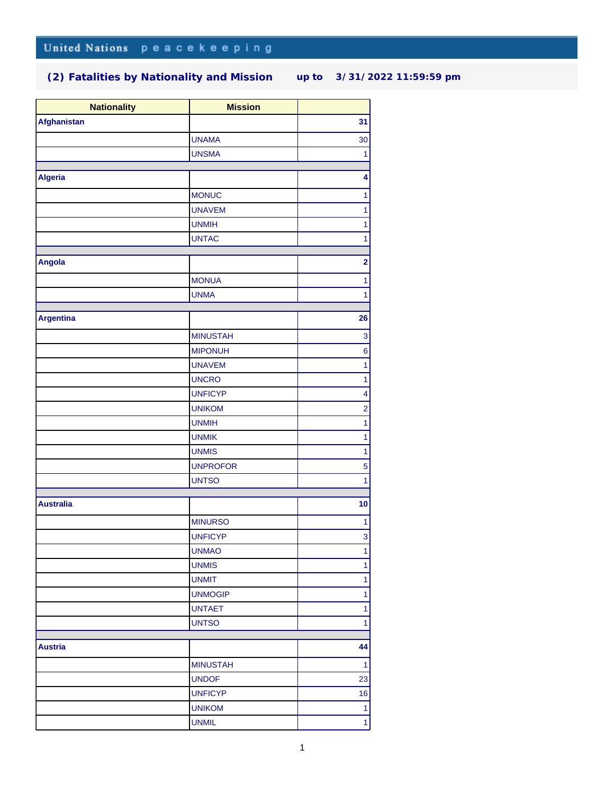| <b>Nationality</b> | <b>Mission</b>  |                         |
|--------------------|-----------------|-------------------------|
| Afghanistan        |                 | 31                      |
|                    | <b>UNAMA</b>    | 30                      |
|                    | <b>UNSMA</b>    | $\mathbf{1}$            |
| <b>Algeria</b>     |                 | 4                       |
|                    | <b>MONUC</b>    |                         |
|                    | <b>UNAVEM</b>   | 1<br>1                  |
|                    | <b>UNMIH</b>    |                         |
|                    | <b>UNTAC</b>    | $\mathbf{1}$<br>1       |
|                    |                 |                         |
| <b>Angola</b>      |                 | $\mathbf 2$             |
|                    | <b>MONUA</b>    | 1                       |
|                    | <b>UNMA</b>     | $\mathbf{1}$            |
| Argentina          |                 | 26                      |
|                    | <b>MINUSTAH</b> | 3                       |
|                    | <b>MIPONUH</b>  | $\bf 6$                 |
|                    | <b>UNAVEM</b>   | $\mathbf{1}$            |
|                    | <b>UNCRO</b>    | 1                       |
|                    | <b>UNFICYP</b>  | $\overline{\mathbf{4}}$ |
|                    | <b>UNIKOM</b>   | $\overline{\mathbf{c}}$ |
|                    | <b>UNMIH</b>    | $\mathbf{1}$            |
|                    | <b>UNMIK</b>    | $\mathbf{1}$            |
|                    | <b>UNMIS</b>    | 1                       |
|                    | <b>UNPROFOR</b> | 5                       |
|                    | <b>UNTSO</b>    | $\mathbf{1}$            |
| <b>Australia</b>   |                 | 10                      |
|                    | <b>MINURSO</b>  | $\mathbf{1}$            |
|                    | <b>UNFICYP</b>  | 3                       |
|                    | <b>UNMAO</b>    | $\ddot{\phantom{1}}$    |
|                    | <b>UNMIS</b>    | 1                       |
|                    | <b>UNMIT</b>    | $\mathbf{1}$            |
|                    | <b>UNMOGIP</b>  | $\mathbf{1}$            |
|                    | <b>UNTAET</b>   | 1                       |
|                    | <b>UNTSO</b>    | 1                       |
| <b>Austria</b>     |                 | 44                      |
|                    | <b>MINUSTAH</b> | $\mathbf{1}$            |
|                    | <b>UNDOF</b>    | 23                      |
|                    | <b>UNFICYP</b>  | 16                      |
|                    | <b>UNIKOM</b>   | 1                       |
|                    | <b>UNMIL</b>    | $\mathbf{1}$            |
|                    |                 |                         |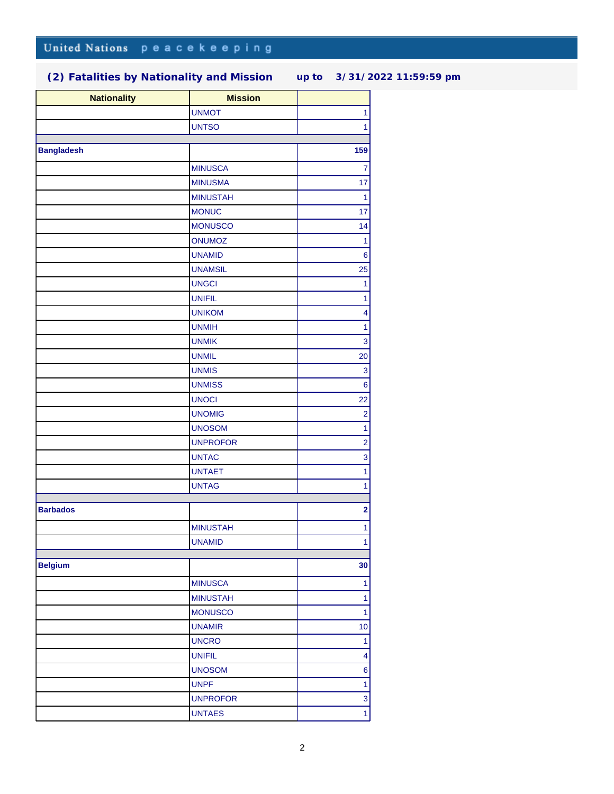| <b>Nationality</b> | <b>Mission</b>  |                         |
|--------------------|-----------------|-------------------------|
|                    | <b>UNMOT</b>    | $\mathbf{1}$            |
|                    | <b>UNTSO</b>    | $\mathbf{1}$            |
|                    |                 |                         |
| <b>Bangladesh</b>  |                 | 159                     |
|                    | <b>MINUSCA</b>  | $\overline{7}$          |
|                    | <b>MINUSMA</b>  | 17                      |
|                    | <b>MINUSTAH</b> | $\mathbf{1}$            |
|                    | <b>MONUC</b>    | 17                      |
|                    | <b>MONUSCO</b>  | 14                      |
|                    | <b>ONUMOZ</b>   | 1                       |
|                    | <b>UNAMID</b>   | $\bf 6$                 |
|                    | <b>UNAMSIL</b>  | 25                      |
|                    | <b>UNGCI</b>    | $\mathbf{1}$            |
|                    | <b>UNIFIL</b>   | $\overline{1}$          |
|                    | <b>UNIKOM</b>   | $\overline{\mathbf{4}}$ |
|                    | <b>UNMIH</b>    | $\ddagger$              |
|                    | <b>UNMIK</b>    | $\overline{3}$          |
|                    | <b>UNMIL</b>    | 20                      |
|                    | <b>UNMIS</b>    | $\mathbf 3$             |
|                    | <b>UNMISS</b>   | $\bf 6$                 |
|                    | <b>UNOCI</b>    | 22                      |
|                    | <b>UNOMIG</b>   | $\overline{2}$          |
|                    | <b>UNOSOM</b>   | $\overline{1}$          |
|                    | <b>UNPROFOR</b> | $\overline{\mathbf{c}}$ |
|                    | <b>UNTAC</b>    | 3                       |
|                    | <b>UNTAET</b>   | $\ddagger$              |
|                    | <b>UNTAG</b>    | $\overline{1}$          |
|                    |                 |                         |
| <b>Barbados</b>    |                 | $\overline{\mathbf{2}}$ |
|                    | <b>MINUSTAH</b> | $\mathbf{1}$            |
|                    | <b>UNAMID</b>   | 1                       |
|                    |                 |                         |
| <b>Belgium</b>     |                 | 30 <sup>°</sup>         |
|                    | <b>MINUSCA</b>  | $\ddagger$              |
|                    | <b>MINUSTAH</b> | $\mathbf{1}$            |
|                    | <b>MONUSCO</b>  | $\overline{1}$          |
|                    | <b>UNAMIR</b>   | 10                      |
|                    | <b>UNCRO</b>    | $\overline{1}$          |
|                    | <b>UNIFIL</b>   | $\overline{\mathbf{4}}$ |
|                    | <b>UNOSOM</b>   | $\bf 6$                 |
|                    | <b>UNPF</b>     | $\overline{1}$          |
|                    | <b>UNPROFOR</b> | 3                       |
|                    | <b>UNTAES</b>   | $\overline{1}$          |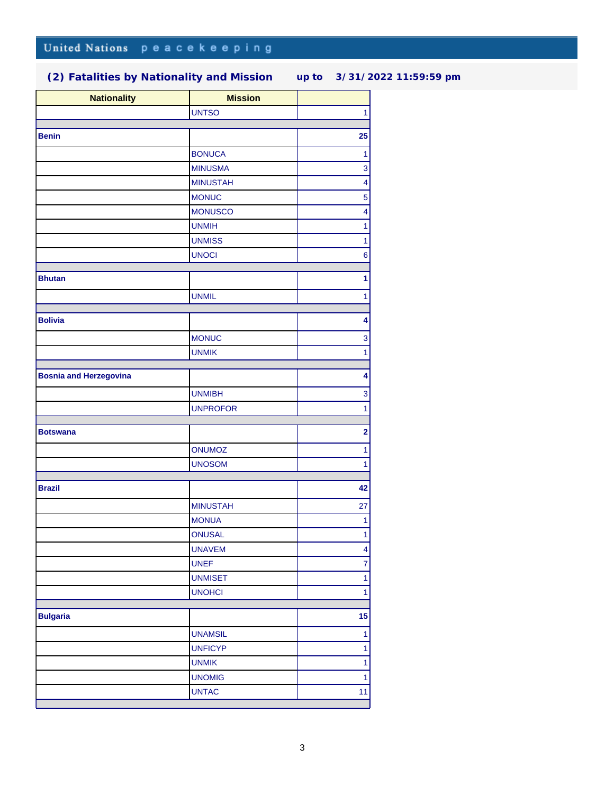| <b>Nationality</b>            | <b>Mission</b>  |                          |
|-------------------------------|-----------------|--------------------------|
|                               | <b>UNTSO</b>    | 1                        |
|                               |                 |                          |
| <b>Benin</b>                  |                 | 25                       |
|                               | <b>BONUCA</b>   | $\overline{1}$           |
|                               | <b>MINUSMA</b>  | 3                        |
|                               | <b>MINUSTAH</b> | $\overline{\mathbf{4}}$  |
|                               | <b>MONUC</b>    | 5                        |
|                               | <b>MONUSCO</b>  | $\overline{\mathcal{A}}$ |
|                               | <b>UNMIH</b>    | $\overline{1}$           |
|                               | <b>UNMISS</b>   | $\overline{1}$           |
|                               | <b>UNOCI</b>    | $\bf 6$                  |
| <b>Bhutan</b>                 |                 | 1                        |
|                               | <b>UNMIL</b>    | $\overline{1}$           |
| <b>Bolivia</b>                |                 | $\overline{\mathbf{4}}$  |
|                               | <b>MONUC</b>    | 3                        |
|                               | <b>UNMIK</b>    | $\overline{1}$           |
|                               |                 |                          |
| <b>Bosnia and Herzegovina</b> |                 | 4                        |
|                               | <b>UNMIBH</b>   | 3                        |
|                               | <b>UNPROFOR</b> | $\overline{1}$           |
| <b>Botswana</b>               |                 | $\overline{\mathbf{2}}$  |
|                               | ONUMOZ          | $\ddagger$               |
|                               | <b>UNOSOM</b>   | $\overline{1}$           |
|                               |                 |                          |
| <b>Brazil</b>                 |                 | 42                       |
|                               | <b>MINUSTAH</b> | 27                       |
|                               | <b>MONUA</b>    | $\mathbf{1}$             |
|                               | <b>ONUSAL</b>   | $\mathbf{1}$             |
|                               | <b>UNAVEM</b>   | $\vert 4 \vert$          |
|                               | <b>UNEF</b>     | $\overline{7}$           |
|                               | <b>UNMISET</b>  | $\overline{1}$           |
|                               | <b>UNOHCI</b>   | $\overline{1}$           |
| <b>Bulgaria</b>               |                 | 15                       |
|                               | <b>UNAMSIL</b>  | $\mathbf{1}$             |
|                               | <b>UNFICYP</b>  | $\ddagger$               |
|                               | <b>UNMIK</b>    | $\ddagger$               |
|                               | <b>UNOMIG</b>   | $\overline{1}$           |
|                               | <b>UNTAC</b>    | 11                       |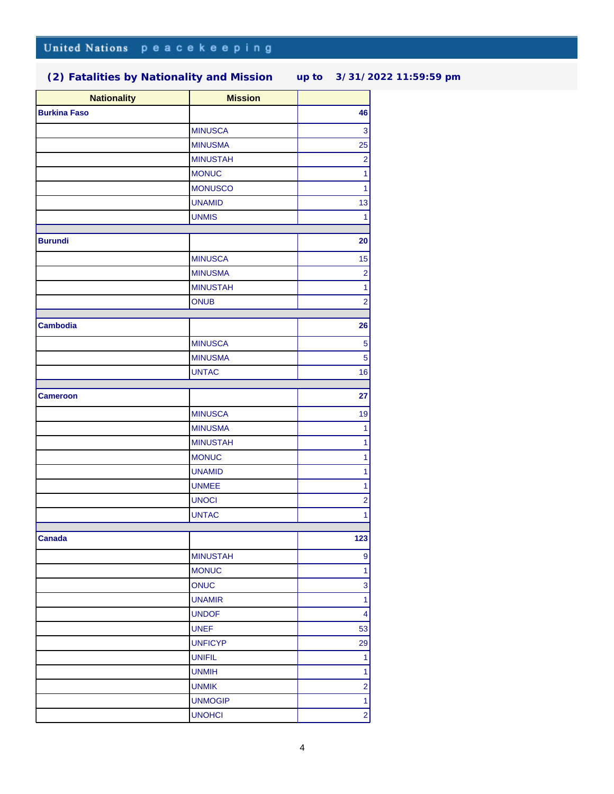| <b>Nationality</b>  | <b>Mission</b>  |                         |
|---------------------|-----------------|-------------------------|
| <b>Burkina Faso</b> |                 | 46                      |
|                     | <b>MINUSCA</b>  | 3                       |
|                     | <b>MINUSMA</b>  | 25                      |
|                     | <b>MINUSTAH</b> | $\overline{2}$          |
|                     | <b>MONUC</b>    | $\ddot{\phantom{1}}$    |
|                     | <b>MONUSCO</b>  | $\overline{1}$          |
|                     | <b>UNAMID</b>   | 13                      |
|                     | <b>UNMIS</b>    | 1                       |
|                     |                 |                         |
| <b>Burundi</b>      |                 | 20                      |
|                     | <b>MINUSCA</b>  | 15                      |
|                     | <b>MINUSMA</b>  | $\mathbf 2$             |
|                     | <b>MINUSTAH</b> | $\ddagger$              |
|                     | <b>ONUB</b>     | $\overline{2}$          |
| <b>Cambodia</b>     |                 | 26                      |
|                     |                 |                         |
|                     | <b>MINUSCA</b>  | $\overline{5}$          |
|                     | <b>MINUSMA</b>  | 5                       |
|                     | <b>UNTAC</b>    | 16                      |
| <b>Cameroon</b>     |                 | 27                      |
|                     | <b>MINUSCA</b>  | 19                      |
|                     | <b>MINUSMA</b>  | $\mathbf{1}$            |
|                     | <b>MINUSTAH</b> | $\overline{1}$          |
|                     | <b>MONUC</b>    | $\mathbf{1}$            |
|                     | <b>UNAMID</b>   | $\mathbf{1}$            |
|                     | <b>UNMEE</b>    | $\overline{1}$          |
|                     | <b>UNOCI</b>    | $\overline{c}$          |
|                     | <b>UNTAC</b>    | $\mathbf{1}$            |
|                     |                 |                         |
| <b>Canada</b>       |                 | 123                     |
|                     | <b>MINUSTAH</b> | 9                       |
|                     | <b>MONUC</b>    | $\ddagger$              |
|                     | <b>ONUC</b>     | 3                       |
|                     | <b>UNAMIR</b>   | $\overline{1}$          |
|                     | <b>UNDOF</b>    | $\overline{\mathbf{4}}$ |
|                     | <b>UNEF</b>     | 53                      |
|                     | <b>UNFICYP</b>  | 29                      |
|                     | <b>UNIFIL</b>   | $\mathbf{1}$            |
|                     | <b>UNMIH</b>    | $\overline{1}$          |
|                     | <b>UNMIK</b>    | $\overline{2}$          |
|                     | <b>UNMOGIP</b>  | $\mathbf{1}$            |
|                     | <b>UNOHCI</b>   | $\mathbf{2}$            |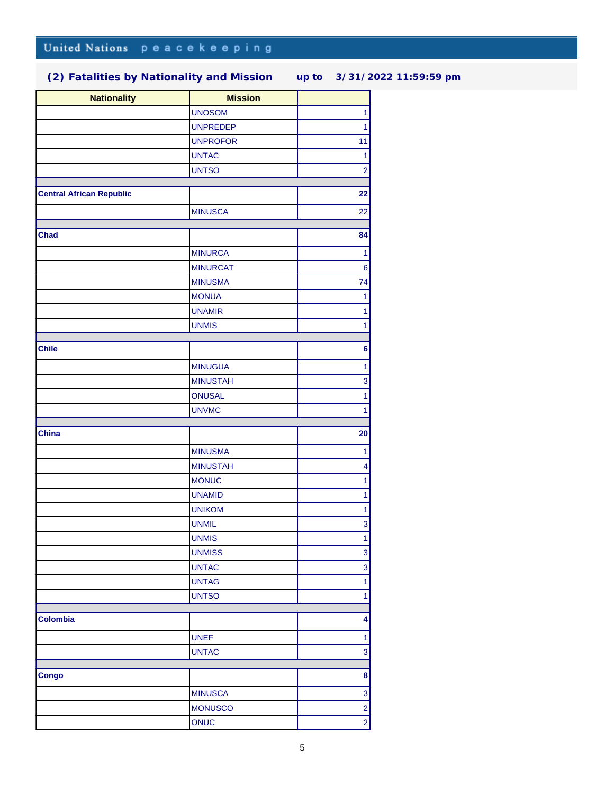| <b>Nationality</b>              | <b>Mission</b>  |                         |
|---------------------------------|-----------------|-------------------------|
|                                 | <b>UNOSOM</b>   | $\mathbf{1}$            |
|                                 | <b>UNPREDEP</b> | $\mathbf{1}$            |
|                                 | <b>UNPROFOR</b> | 11                      |
|                                 | <b>UNTAC</b>    | 1                       |
|                                 | <b>UNTSO</b>    | $\mathbf 2$             |
|                                 |                 |                         |
| <b>Central African Republic</b> |                 | 22                      |
|                                 | <b>MINUSCA</b>  | 22                      |
| <b>Chad</b>                     |                 | 84                      |
|                                 | <b>MINURCA</b>  | 1                       |
|                                 | <b>MINURCAT</b> | $\bf 6$                 |
|                                 | <b>MINUSMA</b>  | 74                      |
|                                 | <b>MONUA</b>    |                         |
|                                 | <b>UNAMIR</b>   | $\mathbf{1}$            |
|                                 | <b>UNMIS</b>    | 1                       |
|                                 |                 | $\mathbf{1}$            |
| <b>Chile</b>                    |                 | $\bf 6$                 |
|                                 | <b>MINUGUA</b>  | $\mathbf{1}$            |
|                                 | <b>MINUSTAH</b> | 3                       |
|                                 | <b>ONUSAL</b>   | $\mathbf{1}$            |
|                                 | <b>UNVMC</b>    | $\mathbf{1}$            |
|                                 |                 |                         |
| China                           |                 | 20                      |
|                                 | <b>MINUSMA</b>  | 1                       |
|                                 | <b>MINUSTAH</b> | 4                       |
|                                 | <b>MONUC</b>    | $\mathbf{1}$            |
|                                 | <b>UNAMID</b>   | $\mathbf{1}$            |
|                                 | <b>UNIKOM</b>   | $\mathbf{1}$            |
|                                 | <b>UNMIL</b>    | 3                       |
|                                 | <b>UNMIS</b>    | $\ddot{\phantom{1}}$    |
|                                 | <b>UNMISS</b>   | 3                       |
|                                 | <b>UNTAC</b>    | $\mathbf{3}$            |
|                                 | <b>UNTAG</b>    | $\mathbf{1}$            |
|                                 | <b>UNTSO</b>    | $\mathbf{1}$            |
| <b>Colombia</b>                 |                 | 4                       |
|                                 |                 |                         |
|                                 | <b>UNEF</b>     | $\mathbf{1}$            |
|                                 | <b>UNTAC</b>    | $\mathbf{3}$            |
| <b>Congo</b>                    |                 | $\boldsymbol{8}$        |
|                                 | <b>MINUSCA</b>  | $\mathbf{3}$            |
|                                 | <b>MONUSCO</b>  | $\overline{\mathbf{c}}$ |
|                                 | ONUC            | $\mathbf{2}$            |
|                                 |                 |                         |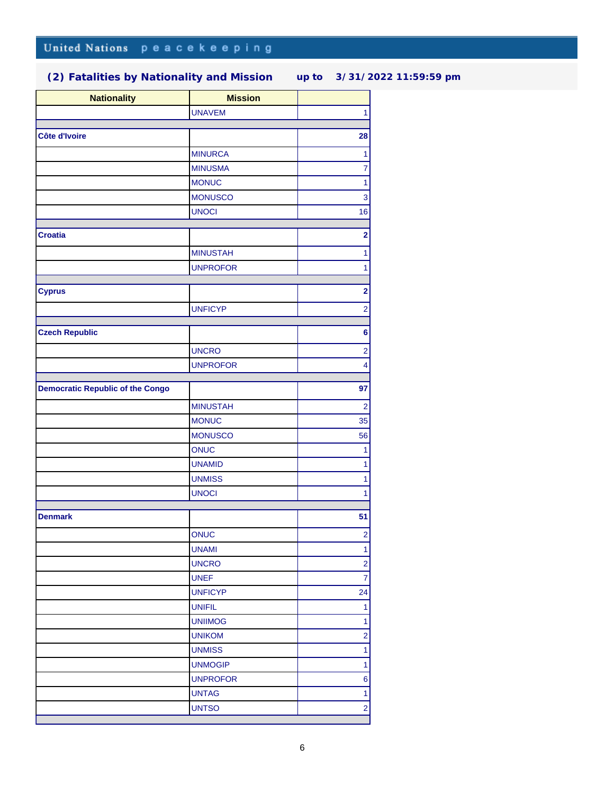| <b>Nationality</b>                      | <b>Mission</b>  |                         |
|-----------------------------------------|-----------------|-------------------------|
|                                         | <b>UNAVEM</b>   | $\mathbf{1}$            |
|                                         |                 |                         |
| <b>Côte d'Ivoire</b>                    |                 | 28                      |
|                                         | <b>MINURCA</b>  | $\mathbf{1}$            |
|                                         | <b>MINUSMA</b>  | $\overline{7}$          |
|                                         | <b>MONUC</b>    | $\mathbf{1}$            |
|                                         | <b>MONUSCO</b>  | 3                       |
|                                         | <b>UNOCI</b>    | 16                      |
| <b>Croatia</b>                          |                 | $\overline{\mathbf{2}}$ |
|                                         | <b>MINUSTAH</b> | $\mathbf{1}$            |
|                                         | <b>UNPROFOR</b> | $\mathbf{1}$            |
|                                         |                 |                         |
| <b>Cyprus</b>                           |                 | $\overline{\mathbf{2}}$ |
|                                         | <b>UNFICYP</b>  | $\overline{2}$          |
| <b>Czech Republic</b>                   |                 | $\bf 6$                 |
|                                         |                 |                         |
|                                         | <b>UNCRO</b>    | $\overline{2}$          |
|                                         | <b>UNPROFOR</b> | $\overline{\mathbf{4}}$ |
| <b>Democratic Republic of the Congo</b> |                 | 97                      |
|                                         | <b>MINUSTAH</b> | $\overline{2}$          |
|                                         | <b>MONUC</b>    | 35                      |
|                                         | <b>MONUSCO</b>  | 56                      |
|                                         | <b>ONUC</b>     | $\mathbf{1}$            |
|                                         | <b>UNAMID</b>   | $\ddagger$              |
|                                         | <b>UNMISS</b>   | $\mathbf{1}$            |
|                                         | <b>UNOCI</b>    | 1                       |
|                                         |                 |                         |
| <b>Denmark</b>                          |                 | 51                      |
|                                         | ONUC            | $\overline{2}$          |
|                                         | <b>UNAMI</b>    | 1                       |
|                                         | <b>UNCRO</b>    | $\overline{\mathbf{c}}$ |
|                                         | <b>UNEF</b>     | $\overline{7}$          |
|                                         | <b>UNFICYP</b>  | 24                      |
|                                         | <b>UNIFIL</b>   | $\overline{1}$          |
|                                         | <b>UNIIMOG</b>  | $\mathbf{1}$            |
|                                         | <b>UNIKOM</b>   | $\overline{\mathbf{c}}$ |
|                                         | <b>UNMISS</b>   | $\ddagger$              |
|                                         | <b>UNMOGIP</b>  | $\overline{1}$          |
|                                         | <b>UNPROFOR</b> | $\bf 6$                 |
|                                         | <b>UNTAG</b>    | $\mathbf{1}$            |
|                                         | <b>UNTSO</b>    | $\overline{2}$          |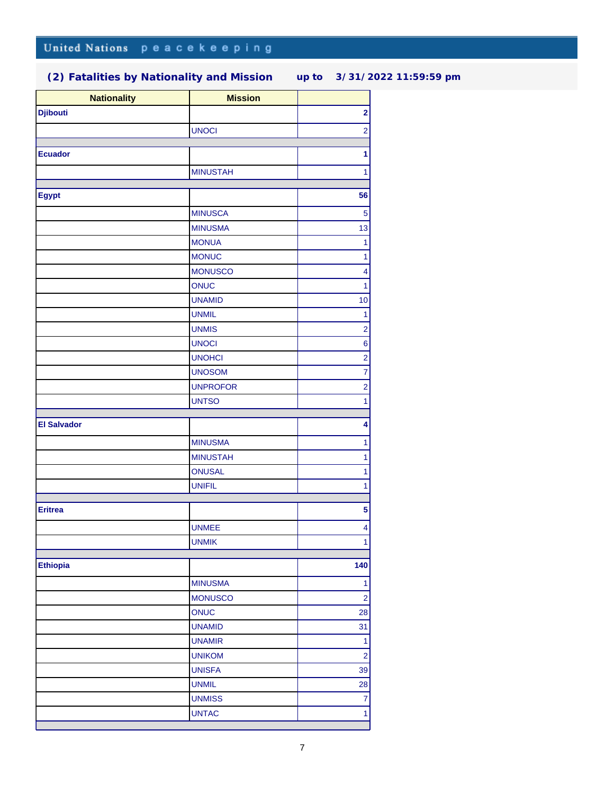# United Nations peacekeeping

| <b>Nationality</b> | <b>Mission</b>                |                         |
|--------------------|-------------------------------|-------------------------|
| <b>Djibouti</b>    |                               | $\overline{\mathbf{2}}$ |
|                    | <b>UNOCI</b>                  | $\overline{2}$          |
|                    |                               |                         |
| <b>Ecuador</b>     |                               | 1                       |
|                    | <b>MINUSTAH</b>               | $\ddot{\phantom{1}}$    |
|                    |                               | 56                      |
| <b>Egypt</b>       |                               |                         |
|                    | <b>MINUSCA</b>                | $\overline{5}$          |
|                    | <b>MINUSMA</b>                | 13                      |
|                    | <b>MONUA</b>                  | $\mathbf{1}$            |
|                    | <b>MONUC</b>                  | $\overline{1}$          |
|                    | <b>MONUSCO</b>                | $\overline{\mathbf{4}}$ |
|                    | <b>ONUC</b>                   | $\overline{1}$          |
|                    | <b>UNAMID</b>                 | 10                      |
|                    | <b>UNMIL</b>                  | $\mathbf{1}$            |
|                    | <b>UNMIS</b>                  | $\overline{2}$          |
|                    | <b>UNOCI</b>                  | 6                       |
|                    | <b>UNOHCI</b>                 | $\overline{2}$          |
|                    | <b>UNOSOM</b>                 | $\overline{7}$          |
|                    | <b>UNPROFOR</b>               | $\overline{c}$          |
|                    | <b>UNTSO</b>                  | $\overline{1}$          |
| <b>El Salvador</b> |                               | $\overline{\mathbf{4}}$ |
|                    |                               |                         |
|                    | <b>MINUSMA</b>                | $\ddagger$              |
|                    | <b>MINUSTAH</b>               | $\ddagger$              |
|                    | <b>ONUSAL</b>                 | $\ddot{\phantom{1}}$    |
|                    | <b>UNIFIL</b>                 | $\overline{\mathbf{1}}$ |
| <b>Eritrea</b>     |                               | 5                       |
|                    |                               |                         |
|                    | <b>UNMEE</b>                  | $\overline{\mathbf{4}}$ |
|                    | <b>UNMIK</b>                  | 1                       |
| <b>Ethiopia</b>    |                               | 140                     |
|                    | <b>MINUSMA</b>                | $\mathbf{1}$            |
|                    | <b>MONUSCO</b>                | $\mathbf{2}$            |
|                    | ONUC                          | 28                      |
|                    | <b>UNAMID</b>                 | 31                      |
|                    | <b>UNAMIR</b>                 | $\overline{1}$          |
|                    | <b>UNIKOM</b>                 | $\overline{2}$          |
|                    | <b>UNISFA</b>                 | 39                      |
|                    | <b>UNMIL</b>                  |                         |
|                    |                               | 28                      |
|                    | <b>UNMISS</b><br><b>UNTAC</b> | $\overline{7}$          |
|                    |                               | $\mathbf{1}$            |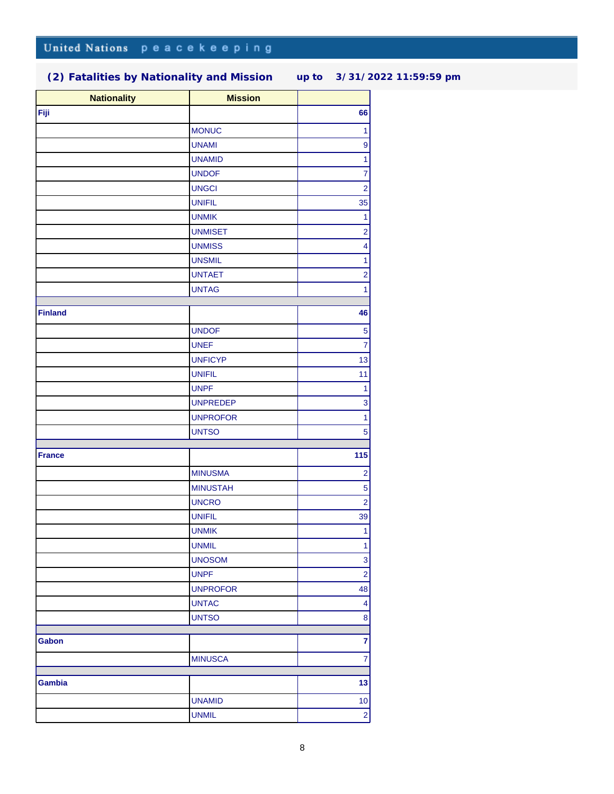| <b>Nationality</b> | <b>Mission</b>  |                          |
|--------------------|-----------------|--------------------------|
| Fiji               |                 | 66                       |
|                    | <b>MONUC</b>    | $\overline{1}$           |
|                    | <b>UNAMI</b>    | 9                        |
|                    | <b>UNAMID</b>   | $\ddagger$               |
|                    | <b>UNDOF</b>    | $\overline{7}$           |
|                    | <b>UNGCI</b>    | $\overline{2}$           |
|                    | <b>UNIFIL</b>   | 35                       |
|                    | <b>UNMIK</b>    | $\mathbf{1}$             |
|                    | <b>UNMISET</b>  | $\overline{2}$           |
|                    | <b>UNMISS</b>   | $\overline{\mathcal{A}}$ |
|                    | <b>UNSMIL</b>   | $\ddagger$               |
|                    | <b>UNTAET</b>   | $\overline{a}$           |
|                    | <b>UNTAG</b>    | 1                        |
|                    |                 |                          |
| <b>Finland</b>     |                 | 46                       |
|                    | <b>UNDOF</b>    | $\overline{5}$           |
|                    | <b>UNEF</b>     | $\overline{7}$           |
|                    | <b>UNFICYP</b>  | 13                       |
|                    | <b>UNIFIL</b>   | 11                       |
|                    | <b>UNPF</b>     | $\mathbf{1}$             |
|                    | <b>UNPREDEP</b> | 3                        |
|                    | <b>UNPROFOR</b> | $\overline{1}$           |
|                    | <b>UNTSO</b>    | 5                        |
| <b>France</b>      |                 | 115                      |
|                    | <b>MINUSMA</b>  | $\overline{\mathbf{c}}$  |
|                    | <b>MINUSTAH</b> | 5                        |
|                    | <b>UNCRO</b>    | $\overline{2}$           |
|                    | <b>UNIFIL</b>   | 39                       |
|                    | <b>UNMIK</b>    | $\overline{1}$           |
|                    | <b>UNMIL</b>    | 1                        |
|                    | <b>UNOSOM</b>   | $\overline{3}$           |
|                    | <b>UNPF</b>     | $\mathbf{2}$             |
|                    | <b>UNPROFOR</b> | 48                       |
|                    | <b>UNTAC</b>    | 4                        |
|                    | <b>UNTSO</b>    | $\bf{8}$                 |
| Gabon              |                 | $\overline{7}$           |
|                    | <b>MINUSCA</b>  | $\overline{7}$           |
|                    |                 |                          |
| Gambia             |                 | 13                       |
|                    | <b>UNAMID</b>   | 10                       |
|                    | <b>UNMIL</b>    | $\mathbf{2}$             |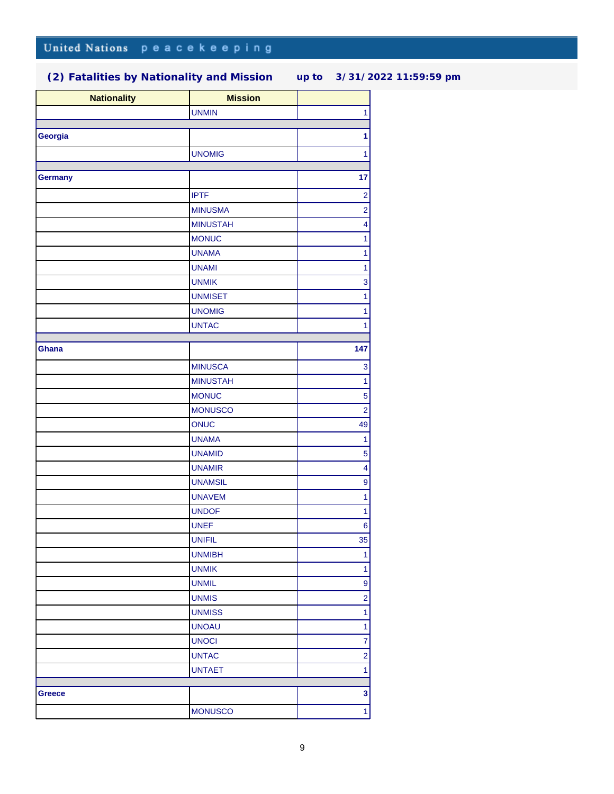| <b>Nationality</b> | <b>Mission</b>  |                         |
|--------------------|-----------------|-------------------------|
|                    | <b>UNMIN</b>    | $\overline{1}$          |
|                    |                 | 1                       |
| Georgia            |                 |                         |
|                    | <b>UNOMIG</b>   | $\overline{1}$          |
| <b>Germany</b>     |                 | 17                      |
|                    | <b>IPTF</b>     | $\overline{\mathbf{c}}$ |
|                    | <b>MINUSMA</b>  | $\overline{2}$          |
|                    | <b>MINUSTAH</b> | $\overline{\mathbf{4}}$ |
|                    | <b>MONUC</b>    | $\overline{1}$          |
|                    | <b>UNAMA</b>    | $\ddagger$              |
|                    | <b>UNAMI</b>    | $\ddot{\phantom{1}}$    |
|                    | <b>UNMIK</b>    | $\overline{\mathbf{3}}$ |
|                    | <b>UNMISET</b>  | $\overline{1}$          |
|                    | <b>UNOMIG</b>   | $\ddagger$              |
|                    | <b>UNTAC</b>    | $\ddot{\phantom{1}}$    |
|                    |                 |                         |
| Ghana              |                 | 147                     |
|                    | <b>MINUSCA</b>  | 3                       |
|                    | <b>MINUSTAH</b> | $\ddot{\phantom{1}}$    |
|                    | <b>MONUC</b>    | 5                       |
|                    | <b>MONUSCO</b>  | $\overline{2}$          |
|                    | ONUC            | 49                      |
|                    | <b>UNAMA</b>    | $\ddot{\phantom{1}}$    |
|                    | <b>UNAMID</b>   | 5                       |
|                    | <b>UNAMIR</b>   | $\overline{4}$          |
|                    | <b>UNAMSIL</b>  | 9                       |
|                    | <b>UNAVEM</b>   | $\overline{1}$          |
|                    | <b>UNDOF</b>    | $\ddot{\phantom{1}}$    |
|                    | <b>UNEF</b>     | $6 \mid$                |
|                    | <b>UNIFIL</b>   | $35\overline{}$         |
|                    | <b>UNMIBH</b>   | $\mathbf{1}$            |
|                    | <b>UNMIK</b>    | $\mathbf{1}$            |
|                    | <b>UNMIL</b>    | 9                       |
|                    | <b>UNMIS</b>    | $\mathbf{2}$            |
|                    | <b>UNMISS</b>   | $\overline{1}$          |
|                    | <b>UNOAU</b>    | $\mathbf{1}$            |
|                    | <b>UNOCI</b>    | $\overline{7}$          |
|                    | <b>UNTAC</b>    | $\mathbf{2}$            |
|                    | <b>UNTAET</b>   | $\ddagger$              |
|                    |                 |                         |
| <b>Greece</b>      |                 | $\mathbf{3}$            |
|                    | <b>MONUSCO</b>  | $\overline{1}$          |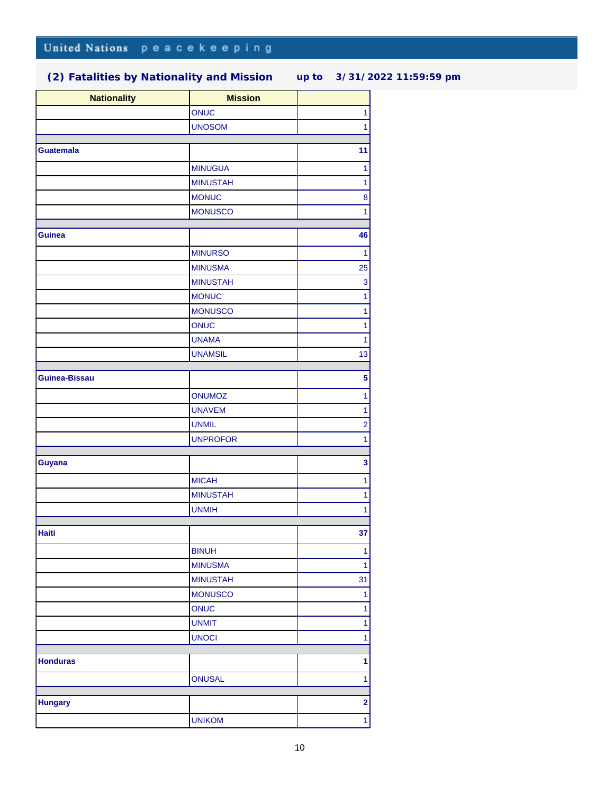| <b>Nationality</b>   | <b>Mission</b>  |                |
|----------------------|-----------------|----------------|
|                      | <b>ONUC</b>     | $\mathbf{1}$   |
|                      | <b>UNOSOM</b>   | $\mathbf{1}$   |
|                      |                 |                |
| <b>Guatemala</b>     |                 | 11             |
|                      | <b>MINUGUA</b>  | $\mathbf{1}$   |
|                      | <b>MINUSTAH</b> | $\mathbf{1}$   |
|                      | <b>MONUC</b>    | 8              |
|                      | <b>MONUSCO</b>  | $\overline{1}$ |
|                      |                 |                |
| <b>Guinea</b>        |                 | 46             |
|                      | <b>MINURSO</b>  | $\mathbf{1}$   |
|                      | <b>MINUSMA</b>  | 25             |
|                      | <b>MINUSTAH</b> | 3              |
|                      | <b>MONUC</b>    | $\mathbf{1}$   |
|                      | <b>MONUSCO</b>  | $\overline{1}$ |
|                      | <b>ONUC</b>     | $\mathbf{1}$   |
|                      | <b>UNAMA</b>    | $\mathbf{1}$   |
|                      | <b>UNAMSIL</b>  | 13             |
|                      |                 |                |
| <b>Guinea-Bissau</b> |                 | 5              |
|                      | <b>ONUMOZ</b>   | 1              |
|                      | <b>UNAVEM</b>   | $\mathbf{1}$   |
|                      | <b>UNMIL</b>    | $\overline{2}$ |
|                      | <b>UNPROFOR</b> | $\mathbf{1}$   |
|                      |                 |                |
| Guyana               |                 | 3              |
|                      | <b>MICAH</b>    | $\mathbf{1}$   |
|                      | <b>MINUSTAH</b> | 1              |
|                      | <b>UNMIH</b>    | $\mathbf{1}$   |
| <b>Haiti</b>         |                 | 37             |
|                      |                 |                |
|                      | <b>BINUH</b>    | $\mathbf{1}$   |
|                      | <b>MINUSMA</b>  | $\mathbf{1}$   |
|                      | <b>MINUSTAH</b> | 31             |
|                      | <b>MONUSCO</b>  | $\mathbf{1}$   |
|                      | <b>ONUC</b>     | $\mathbf{1}$   |
|                      | <b>UNMIT</b>    | $\mathbf{1}$   |
|                      | <b>UNOCI</b>    | $\mathbf{1}$   |
|                      |                 | $\mathbf{1}$   |
| <b>Honduras</b>      |                 |                |
|                      | <b>ONUSAL</b>   | $\mathbf{1}$   |
| <b>Hungary</b>       |                 | $\mathbf{2}$   |
|                      |                 |                |
|                      | <b>UNIKOM</b>   | $\vert$        |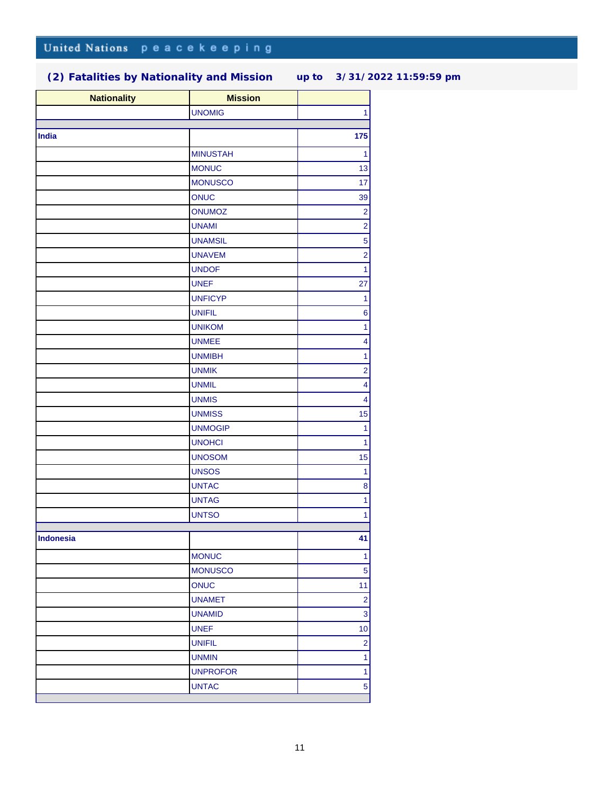| <b>Nationality</b> | <b>Mission</b>  |                         |
|--------------------|-----------------|-------------------------|
|                    | <b>UNOMIG</b>   | $\mathbf{1}$            |
| India              |                 | 175                     |
|                    |                 |                         |
|                    | <b>MINUSTAH</b> | 1                       |
|                    | <b>MONUC</b>    | 13                      |
|                    | <b>MONUSCO</b>  | 17                      |
|                    | <b>ONUC</b>     | 39                      |
|                    | <b>ONUMOZ</b>   | $\overline{\mathbf{c}}$ |
|                    | <b>UNAMI</b>    | $\overline{2}$          |
|                    | <b>UNAMSIL</b>  | 5                       |
|                    | <b>UNAVEM</b>   | $\overline{c}$          |
|                    | <b>UNDOF</b>    | $\mathbf{1}$            |
|                    | <b>UNEF</b>     | 27                      |
|                    | <b>UNFICYP</b>  | $\mathbf{1}$            |
|                    | <b>UNIFIL</b>   | 6                       |
|                    | <b>UNIKOM</b>   | 1                       |
|                    | <b>UNMEE</b>    | 4                       |
|                    | <b>UNMIBH</b>   | 1                       |
|                    | <b>UNMIK</b>    | $\overline{\mathbf{c}}$ |
|                    | <b>UNMIL</b>    | 4                       |
|                    | <b>UNMIS</b>    | $\overline{4}$          |
|                    | <b>UNMISS</b>   | 15                      |
|                    | <b>UNMOGIP</b>  | 1                       |
|                    | <b>UNOHCI</b>   | 1                       |
|                    | <b>UNOSOM</b>   | 15                      |
|                    | <b>UNSOS</b>    | $\mathbf{1}$            |
|                    | <b>UNTAC</b>    | $\bf8$                  |
|                    | <b>UNTAG</b>    | 1                       |
|                    | <b>UNTSO</b>    | 1                       |
|                    |                 |                         |
| <b>Indonesia</b>   |                 | 41                      |
|                    | <b>MONUC</b>    | 1                       |
|                    | <b>MONUSCO</b>  | $\sqrt{5}$              |
|                    | <b>ONUC</b>     | 11                      |
|                    | <b>UNAMET</b>   | $\overline{2}$          |
|                    | <b>UNAMID</b>   | $\mathbf 3$             |
|                    | <b>UNEF</b>     | 10                      |
|                    | <b>UNIFIL</b>   | $\overline{2}$          |
|                    | <b>UNMIN</b>    | 1                       |
|                    | <b>UNPROFOR</b> | $\overline{1}$          |
|                    | <b>UNTAC</b>    | 5 <sup>1</sup>          |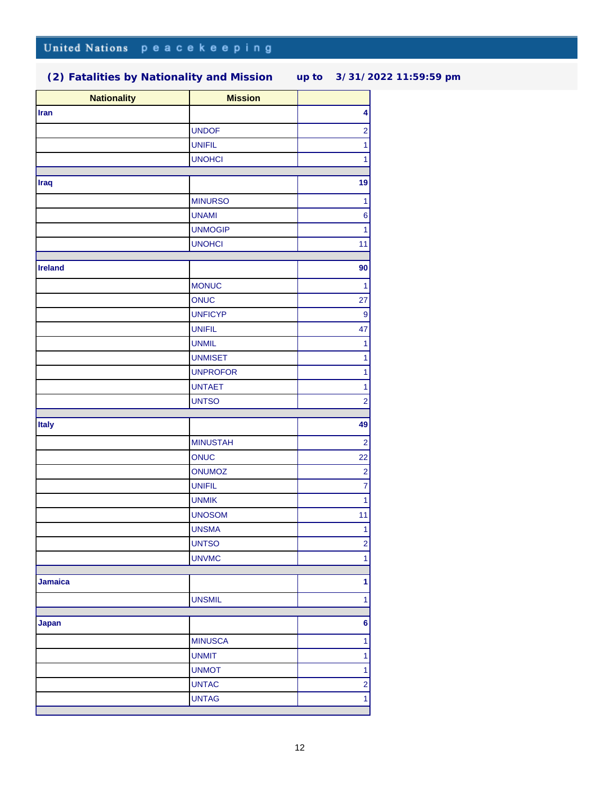| <b>Nationality</b> | <b>Mission</b>  |                         |
|--------------------|-----------------|-------------------------|
| <b>Iran</b>        |                 | $\overline{\mathbf{4}}$ |
|                    | <b>UNDOF</b>    | $\overline{2}$          |
|                    | <b>UNIFIL</b>   | $\ddot{\phantom{1}}$    |
|                    | <b>UNOHCI</b>   | $\overline{1}$          |
|                    |                 |                         |
| Iraq               |                 | 19                      |
|                    | <b>MINURSO</b>  | $\mathbf{1}$            |
|                    | <b>UNAMI</b>    | $\bf 6$                 |
|                    | <b>UNMOGIP</b>  | $\ddagger$              |
|                    | <b>UNOHCI</b>   | 11                      |
| <b>Ireland</b>     |                 | 90                      |
|                    |                 |                         |
|                    | <b>MONUC</b>    | $\mathbf{1}$            |
|                    | ONUC            | 27                      |
|                    | <b>UNFICYP</b>  | $\boldsymbol{9}$        |
|                    | <b>UNIFIL</b>   | 47                      |
|                    | <b>UNMIL</b>    | $\ddot{\phantom{0}}$    |
|                    | <b>UNMISET</b>  | $\ddot{\phantom{1}}$    |
|                    | <b>UNPROFOR</b> | $\ddagger$              |
|                    | <b>UNTAET</b>   | $\ddot{\phantom{1}}$    |
|                    | <b>UNTSO</b>    | $\overline{2}$          |
| Italy              |                 | 49                      |
|                    | <b>MINUSTAH</b> | $\overline{\mathbf{c}}$ |
|                    | ONUC            | 22                      |
|                    | ONUMOZ          | $\overline{2}$          |
|                    | <b>UNIFIL</b>   | $\overline{7}$          |
|                    | <b>UNMIK</b>    | $\ddagger$              |
|                    | <b>UNOSOM</b>   | 11                      |
|                    | <b>UNSMA</b>    | $\ddagger$              |
|                    | <b>UNTSO</b>    | $\mathbf{2}$            |
|                    | <b>UNVMC</b>    | $\overline{1}$          |
|                    |                 |                         |
| Jamaica            |                 | 1                       |
|                    | <b>UNSMIL</b>   | $\overline{1}$          |
| Japan              |                 | 6                       |
|                    | <b>MINUSCA</b>  | $\ddagger$              |
|                    | <b>UNMIT</b>    | $\ddagger$              |
|                    | <b>UNMOT</b>    | $\ddagger$              |
|                    | <b>UNTAC</b>    | $\mathbf{2}$            |
|                    | <b>UNTAG</b>    | $\ddagger$              |
|                    |                 |                         |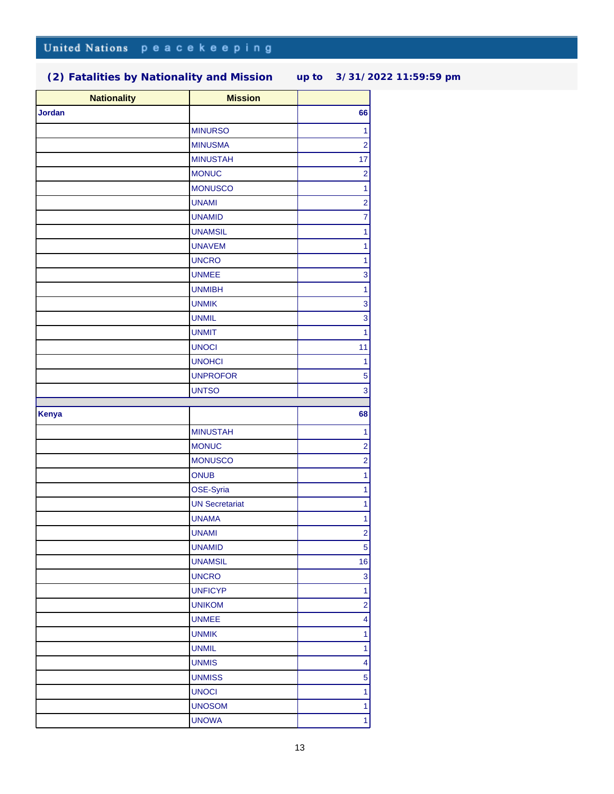| <b>Nationality</b> | <b>Mission</b>        |                         |
|--------------------|-----------------------|-------------------------|
| Jordan             |                       | 66                      |
|                    | <b>MINURSO</b>        | 1                       |
|                    | <b>MINUSMA</b>        | $\overline{2}$          |
|                    | <b>MINUSTAH</b>       | 17                      |
|                    | <b>MONUC</b>          | $\overline{2}$          |
|                    | <b>MONUSCO</b>        | $\ddagger$              |
|                    | <b>UNAMI</b>          | $\overline{2}$          |
|                    | <b>UNAMID</b>         | $\overline{7}$          |
|                    | <b>UNAMSIL</b>        | 1                       |
|                    | <b>UNAVEM</b>         | 1                       |
|                    | <b>UNCRO</b>          | 1                       |
|                    | <b>UNMEE</b>          | 3                       |
|                    | <b>UNMIBH</b>         | $\overline{1}$          |
|                    | <b>UNMIK</b>          | 3                       |
|                    | <b>UNMIL</b>          | 3                       |
|                    | <b>UNMIT</b>          | $\overline{1}$          |
|                    | <b>UNOCI</b>          | 11                      |
|                    | <b>UNOHCI</b>         | $\overline{1}$          |
|                    | <b>UNPROFOR</b>       | 5                       |
|                    | <b>UNTSO</b>          | 3                       |
|                    |                       |                         |
| Kenya              |                       | 68                      |
|                    | <b>MINUSTAH</b>       | 1                       |
|                    | <b>MONUC</b>          | $\overline{\mathbf{c}}$ |
|                    | <b>MONUSCO</b>        | $\overline{2}$          |
|                    | <b>ONUB</b>           | 1                       |
|                    | OSE-Syria             | 1                       |
|                    | <b>UN Secretariat</b> | $\ddagger$              |
|                    | <b>UNAMA</b>          | 1                       |
|                    | <b>UNAMI</b>          | $\overline{2}$          |
|                    | <b>UNAMID</b>         | 5                       |
|                    | <b>UNAMSIL</b>        | 16                      |
|                    | <b>UNCRO</b>          | $\mathbf{3}$            |
|                    | <b>UNFICYP</b>        | $\overline{1}$          |
|                    | <b>UNIKOM</b>         | $\overline{\mathbf{c}}$ |
|                    | <b>UNMEE</b>          | $\vert 4 \vert$         |
|                    | <b>UNMIK</b>          | 1                       |
|                    | <b>UNMIL</b>          | $\mathbf{1}$            |
|                    | <b>UNMIS</b>          | $\overline{\mathbf{4}}$ |
|                    | <b>UNMISS</b>         | 5                       |
|                    | <b>UNOCI</b>          | $\mathbf{1}$            |
|                    | <b>UNOSOM</b>         | 1                       |
|                    | <b>UNOWA</b>          | 1                       |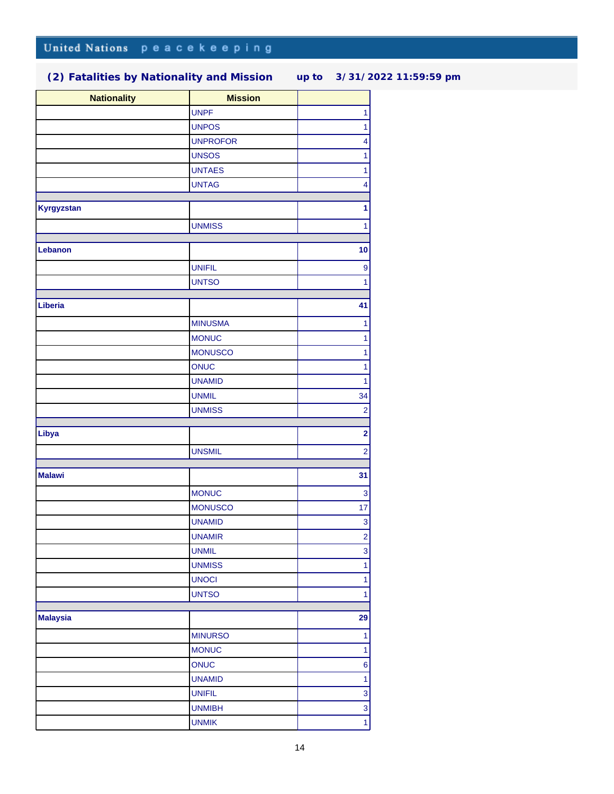| <b>Nationality</b> | <b>Mission</b>  |                         |
|--------------------|-----------------|-------------------------|
|                    | <b>UNPF</b>     | $\ddagger$              |
|                    | <b>UNPOS</b>    | $\overline{1}$          |
|                    | <b>UNPROFOR</b> | $\overline{\mathbf{4}}$ |
|                    | <b>UNSOS</b>    | $\ddagger$              |
|                    | <b>UNTAES</b>   | $\ddagger$              |
|                    | <b>UNTAG</b>    | $\overline{\mathbf{4}}$ |
| Kyrgyzstan         |                 | 1                       |
|                    |                 |                         |
|                    | <b>UNMISS</b>   | $\mathbf{1}$            |
| Lebanon            |                 | 10                      |
|                    | <b>UNIFIL</b>   | $\boldsymbol{9}$        |
|                    | <b>UNTSO</b>    | 1                       |
|                    |                 |                         |
| Liberia            |                 | 41                      |
|                    | <b>MINUSMA</b>  | 1                       |
|                    | <b>MONUC</b>    | $\mathbf{1}$            |
|                    | <b>MONUSCO</b>  | $\ddagger$              |
|                    | <b>ONUC</b>     | $\ddagger$              |
|                    | <b>UNAMID</b>   | $\overline{1}$          |
|                    | <b>UNMIL</b>    | 34                      |
|                    | <b>UNMISS</b>   | $\overline{2}$          |
|                    |                 |                         |
| Libya              |                 | $\overline{\mathbf{2}}$ |
|                    | <b>UNSMIL</b>   | $\overline{2}$          |
| <b>Malawi</b>      |                 | 31                      |
|                    |                 |                         |
|                    | <b>MONUC</b>    | $\mathbf{3}$            |
|                    | <b>MONUSCO</b>  | 17                      |
|                    | <b>UNAMID</b>   | $\frac{3}{2}$           |
|                    | <b>UNAMIR</b>   |                         |
|                    | <b>UNMIL</b>    | $\overline{3}$          |
|                    | <b>UNMISS</b>   | $\ddagger$              |
|                    | <b>UNOCI</b>    | $\ddagger$              |
|                    | <b>UNTSO</b>    | $\ddagger$              |
| <b>Malaysia</b>    |                 | 29                      |
|                    | <b>MINURSO</b>  | $\ddagger$              |
|                    | <b>MONUC</b>    | $\ddagger$              |
|                    | ONUC            | $6 \mid$                |
|                    | <b>UNAMID</b>   | $\ddagger$              |
|                    | <b>UNIFIL</b>   | $\overline{\mathbf{3}}$ |
|                    | <b>UNMIBH</b>   |                         |
|                    | <b>UNMIK</b>    | $\overline{1}$          |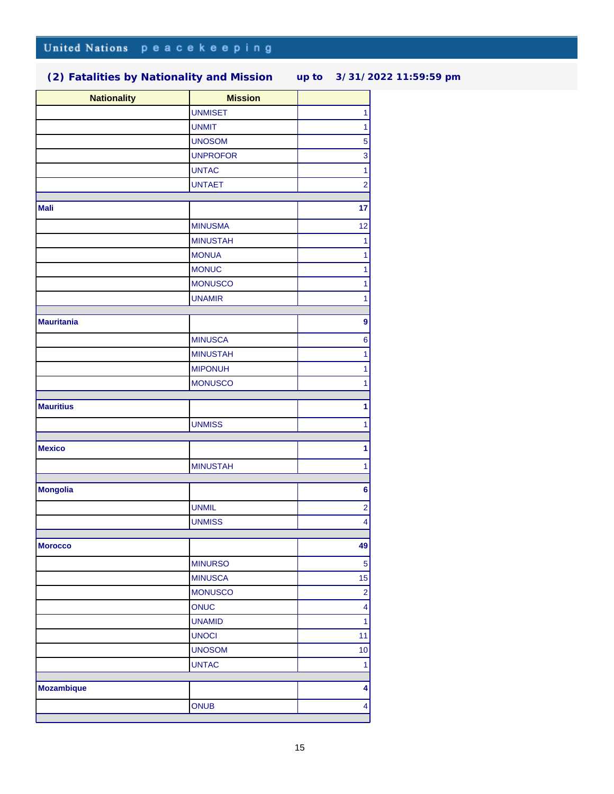| <b>Nationality</b> | <b>Mission</b>                |                                           |
|--------------------|-------------------------------|-------------------------------------------|
|                    | <b>UNMISET</b>                | $\mathbf{1}$                              |
|                    | <b>UNMIT</b>                  | $\overline{1}$                            |
|                    | <b>UNOSOM</b>                 | 5                                         |
|                    | <b>UNPROFOR</b>               | $\overline{3}$                            |
|                    | <b>UNTAC</b>                  | $\overline{1}$                            |
|                    | <b>UNTAET</b>                 | $\overline{2}$                            |
| <b>Mali</b>        |                               | 17                                        |
|                    | <b>MINUSMA</b>                | 12                                        |
|                    | <b>MINUSTAH</b>               | 1                                         |
|                    | <b>MONUA</b>                  | $\overline{1}$                            |
|                    | <b>MONUC</b>                  | $\overline{1}$                            |
|                    | <b>MONUSCO</b>                | $\ddagger$                                |
|                    | <b>UNAMIR</b>                 | $\overline{1}$                            |
|                    |                               |                                           |
| <b>Mauritania</b>  |                               | 9                                         |
|                    | <b>MINUSCA</b>                | $\bf 6$                                   |
|                    | <b>MINUSTAH</b>               | $\ddagger$                                |
|                    | <b>MIPONUH</b>                | $\ddagger$                                |
|                    | <b>MONUSCO</b>                | $\ddot{\phantom{1}}$                      |
| <b>Mauritius</b>   |                               | $\blacksquare$                            |
|                    | <b>UNMISS</b>                 | $\overline{1}$                            |
| <b>Mexico</b>      |                               | 1                                         |
|                    |                               |                                           |
|                    | <b>MINUSTAH</b>               | $\mathbf{1}$                              |
| <b>Mongolia</b>    |                               | $\bf 6$                                   |
|                    | <b>UNMIL</b>                  | $\overline{2}$                            |
|                    | <b>UNMISS</b>                 | 4                                         |
| <b>Morocco</b>     |                               | 49                                        |
|                    |                               |                                           |
|                    | <b>MINURSO</b>                | $\sqrt{5}$                                |
|                    | <b>MINUSCA</b>                | 15<br>$\overline{2}$                      |
|                    | <b>MONUSCO</b><br><b>ONUC</b> |                                           |
|                    | <b>UNAMID</b>                 | $\overline{\mathbf{4}}$<br>$\overline{1}$ |
|                    | <b>UNOCI</b>                  |                                           |
|                    | <b>UNOSOM</b>                 | 11                                        |
|                    |                               | 10                                        |
|                    | <b>UNTAC</b>                  | $\mathbf{1}$                              |
| <b>Mozambique</b>  |                               | 4                                         |
|                    | <b>ONUB</b>                   | $\overline{\mathbf{4}}$                   |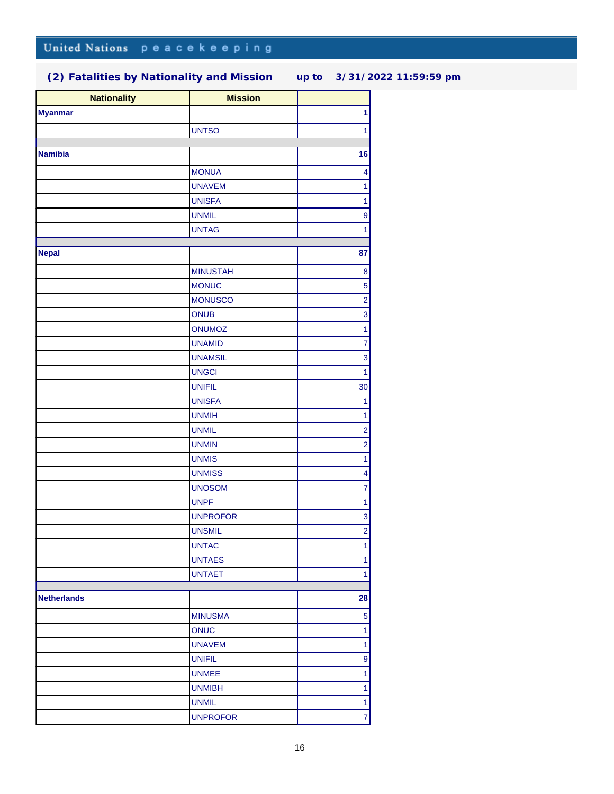| <b>Nationality</b> | <b>Mission</b>  |                         |
|--------------------|-----------------|-------------------------|
| <b>Myanmar</b>     |                 | 1                       |
|                    | <b>UNTSO</b>    | 1                       |
|                    |                 |                         |
| <b>Namibia</b>     |                 | 16                      |
|                    | <b>MONUA</b>    | 4                       |
|                    | <b>UNAVEM</b>   | $\ddagger$              |
|                    | <b>UNISFA</b>   | $\ddagger$              |
|                    | <b>UNMIL</b>    | 9                       |
|                    | <b>UNTAG</b>    | 1                       |
|                    |                 |                         |
| <b>Nepal</b>       |                 | 87                      |
|                    | <b>MINUSTAH</b> | 8                       |
|                    | <b>MONUC</b>    | 5                       |
|                    | <b>MONUSCO</b>  | $\overline{\mathbf{c}}$ |
|                    | ONUB            | 3                       |
|                    | <b>ONUMOZ</b>   | $\ddot{\phantom{1}}$    |
|                    | <b>UNAMID</b>   | $\overline{7}$          |
|                    | <b>UNAMSIL</b>  | $\overline{3}$          |
|                    | <b>UNGCI</b>    | $\ddagger$              |
|                    | <b>UNIFIL</b>   | 30                      |
|                    | <b>UNISFA</b>   | $\ddagger$              |
|                    | <b>UNMIH</b>    | 1                       |
|                    | <b>UNMIL</b>    | $\overline{2}$          |
|                    | <b>UNMIN</b>    | $\overline{c}$          |
|                    | <b>UNMIS</b>    | $\overline{1}$          |
|                    | <b>UNMISS</b>   | 4                       |
|                    | <b>UNOSOM</b>   | 7                       |
|                    | <b>UNPF</b>     | $\ddot{\phantom{1}}$    |
|                    | <b>UNPROFOR</b> | 3                       |
|                    | <b>UNSMIL</b>   | $\overline{2}$          |
|                    | <b>UNTAC</b>    | 1                       |
|                    | <b>UNTAES</b>   | 1                       |
|                    | <b>UNTAET</b>   | $\ddagger$              |
| <b>Netherlands</b> |                 | 28                      |
|                    |                 |                         |
|                    | <b>MINUSMA</b>  | $\overline{5}$          |
|                    | <b>ONUC</b>     | $\ddagger$              |
|                    | <b>UNAVEM</b>   | $\mathbf{1}$            |
|                    | <b>UNIFIL</b>   | 9                       |
|                    | <b>UNMEE</b>    | $\mathbf{1}$            |
|                    | <b>UNMIBH</b>   | $\mathbf{1}$            |
|                    | <b>UNMIL</b>    | $\ddagger$              |
|                    | <b>UNPROFOR</b> | $\overline{7}$          |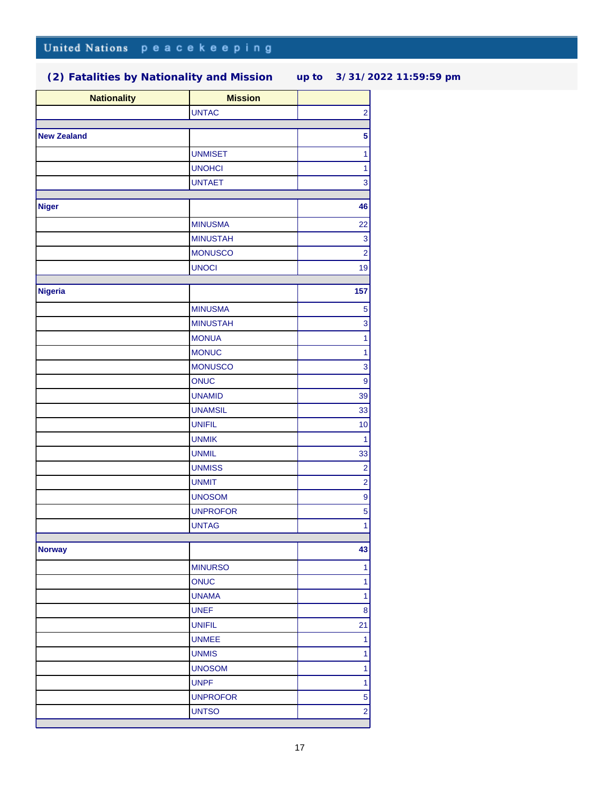| <b>Nationality</b> | <b>Mission</b>                 |                                  |
|--------------------|--------------------------------|----------------------------------|
|                    | <b>UNTAC</b>                   | $\overline{2}$                   |
|                    |                                |                                  |
| <b>New Zealand</b> |                                | 5                                |
|                    | <b>UNMISET</b>                 | $\ddot{\phantom{0}}$             |
|                    | <b>UNOHCI</b>                  | $\ddot{\phantom{1}}$             |
|                    | <b>UNTAET</b>                  | $\overline{3}$                   |
| <b>Niger</b>       |                                | 46                               |
|                    | <b>MINUSMA</b>                 | 22                               |
|                    | <b>MINUSTAH</b>                | 3                                |
|                    | <b>MONUSCO</b>                 | $\overline{2}$                   |
|                    | <b>UNOCI</b>                   | 19                               |
|                    |                                |                                  |
| <b>Nigeria</b>     |                                | 157                              |
|                    | <b>MINUSMA</b>                 | 5                                |
|                    | <b>MINUSTAH</b>                | 3                                |
|                    | <b>MONUA</b>                   | $\ddot{\phantom{1}}$             |
|                    | <b>MONUC</b>                   | $\ddot{\phantom{1}}$             |
|                    | <b>MONUSCO</b>                 | $\overline{3}$                   |
|                    | ONUC                           | 9                                |
|                    | <b>UNAMID</b>                  | 39                               |
|                    | <b>UNAMSIL</b>                 | 33                               |
|                    | <b>UNIFIL</b>                  | 10                               |
|                    | <b>UNMIK</b>                   | $\overline{1}$                   |
|                    | <b>UNMIL</b>                   | 33                               |
|                    | <b>UNMISS</b>                  | $\overline{2}$                   |
|                    | <b>UNMIT</b>                   | $\overline{2}$                   |
|                    | <b>UNOSOM</b>                  | $\overline{9}$                   |
|                    | <b>UNPROFOR</b>                | $\overline{5}$                   |
|                    | <b>UNTAG</b>                   | $\overline{1}$                   |
| <b>Norway</b>      |                                | 43                               |
|                    |                                |                                  |
|                    | <b>MINURSO</b>                 | $\mathbf{1}$<br>$\overline{1}$   |
|                    | <b>ONUC</b><br><b>UNAMA</b>    | $\ddagger$                       |
|                    | <b>UNEF</b>                    |                                  |
|                    | <b>UNIFIL</b>                  | $\boldsymbol{8}$                 |
|                    | <b>UNMEE</b>                   | 21<br>$\mathbf{1}$               |
|                    | <b>UNMIS</b>                   | $\overline{1}$                   |
|                    | <b>UNOSOM</b>                  | $\mathbf{1}$                     |
|                    |                                |                                  |
|                    | <b>UNPF</b><br><b>UNPROFOR</b> | $\ddagger$                       |
|                    | <b>UNTSO</b>                   | $\overline{5}$<br>$\overline{2}$ |
|                    |                                |                                  |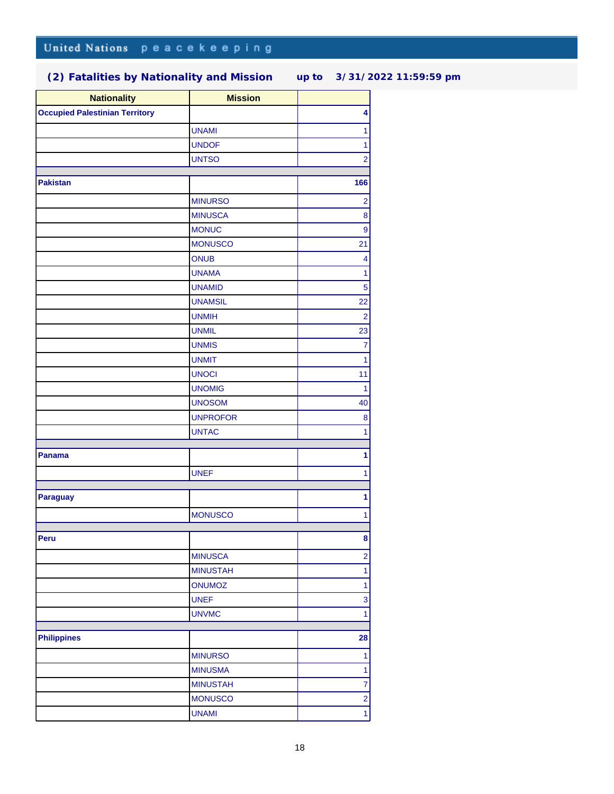| <b>Nationality</b>                    | <b>Mission</b>  |                |
|---------------------------------------|-----------------|----------------|
| <b>Occupied Palestinian Territory</b> |                 | 4              |
|                                       | <b>UNAMI</b>    | 1              |
|                                       | <b>UNDOF</b>    | $\mathbf{1}$   |
|                                       | <b>UNTSO</b>    | $\overline{2}$ |
|                                       |                 |                |
| <b>Pakistan</b>                       |                 | 166            |
|                                       | <b>MINURSO</b>  | $\overline{2}$ |
|                                       | <b>MINUSCA</b>  | $\bf8$         |
|                                       | <b>MONUC</b>    | 9              |
|                                       | <b>MONUSCO</b>  | 21             |
|                                       | <b>ONUB</b>     | 4              |
|                                       | <b>UNAMA</b>    | 1              |
|                                       | <b>UNAMID</b>   | $\overline{5}$ |
|                                       | <b>UNAMSIL</b>  | 22             |
|                                       | <b>UNMIH</b>    | $\overline{2}$ |
|                                       | <b>UNMIL</b>    | 23             |
|                                       | <b>UNMIS</b>    | $\overline{7}$ |
|                                       | <b>UNMIT</b>    | 1              |
|                                       | <b>UNOCI</b>    | 11             |
|                                       | <b>UNOMIG</b>   | 1              |
|                                       | <b>UNOSOM</b>   | 40             |
|                                       | <b>UNPROFOR</b> | $\bf8$         |
|                                       | <b>UNTAC</b>    | 1              |
| <b>Panama</b>                         |                 | 1              |
|                                       |                 |                |
|                                       | <b>UNEF</b>     | $\overline{1}$ |
| <b>Paraguay</b>                       |                 | 1              |
|                                       | <b>MONUSCO</b>  | 1              |
|                                       |                 |                |
| Peru                                  |                 | 8              |
|                                       | <b>MINUSCA</b>  | $\overline{2}$ |
|                                       | <b>MINUSTAH</b> | $\overline{1}$ |
|                                       | <b>ONUMOZ</b>   | 1              |
|                                       | <b>UNEF</b>     | 3              |
|                                       | <b>UNVMC</b>    | $\mathbf{1}$   |
|                                       |                 |                |
| <b>Philippines</b>                    |                 | 28             |
|                                       | <b>MINURSO</b>  | $\mathbf{1}$   |
|                                       | <b>MINUSMA</b>  | $\mathbf{1}$   |
|                                       | <b>MINUSTAH</b> | $\overline{7}$ |
|                                       | <b>MONUSCO</b>  | $\overline{2}$ |
|                                       | <b>UNAMI</b>    | 1              |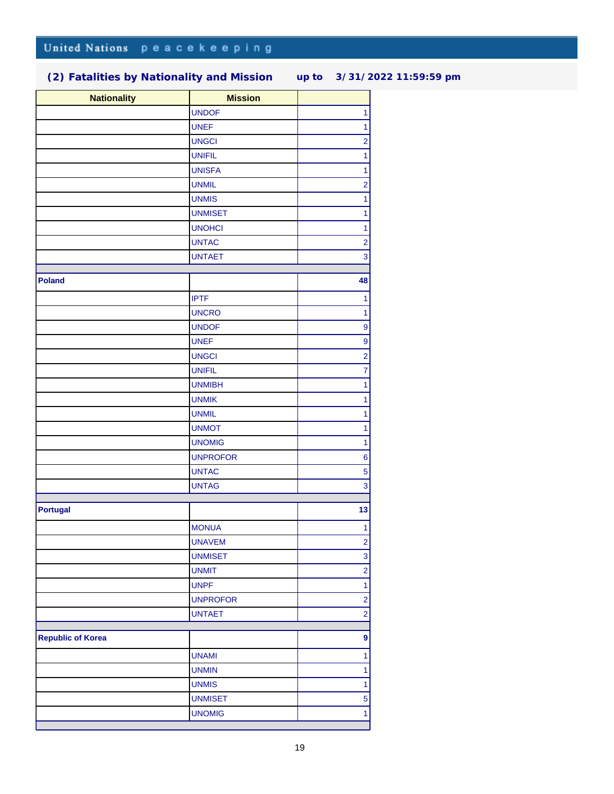| <b>Nationality</b>       | <b>Mission</b>                  |                                |
|--------------------------|---------------------------------|--------------------------------|
|                          | <b>UNDOF</b>                    | $\mathbf{1}$                   |
|                          | <b>UNEF</b>                     | $\overline{1}$                 |
|                          | <b>UNGCI</b>                    | $\overline{2}$                 |
|                          | <b>UNIFIL</b>                   | $\ddagger$                     |
|                          | <b>UNISFA</b>                   | $\overline{1}$                 |
|                          | <b>UNMIL</b>                    | $\overline{c}$                 |
|                          | <b>UNMIS</b>                    | $\ddagger$                     |
|                          | <b>UNMISET</b>                  | $\overline{1}$                 |
|                          | <b>UNOHCI</b>                   | $\ddagger$                     |
|                          | <b>UNTAC</b>                    | $\overline{\mathbf{c}}$        |
|                          | <b>UNTAET</b>                   | 3                              |
| <b>Poland</b>            |                                 | 48                             |
|                          | <b>IPTF</b>                     | $\mathbf{1}$                   |
|                          | <b>UNCRO</b>                    | $\overline{1}$                 |
|                          | <b>UNDOF</b>                    | $\boldsymbol{9}$               |
|                          | <b>UNEF</b>                     | 9                              |
|                          | <b>UNGCI</b>                    | $\overline{c}$                 |
|                          | <b>UNIFIL</b>                   | $\overline{7}$                 |
|                          | <b>UNMIBH</b>                   | $\overline{1}$                 |
|                          | <b>UNMIK</b>                    | $\ddagger$                     |
|                          | <b>UNMIL</b>                    | $\ddagger$                     |
|                          | <b>UNMOT</b>                    | $\ddagger$                     |
|                          | <b>UNOMIG</b>                   | $\ddagger$                     |
|                          | <b>UNPROFOR</b>                 | 6                              |
|                          | <b>UNTAC</b>                    | 5                              |
|                          | <b>UNTAG</b>                    | $\overline{3}$                 |
|                          |                                 |                                |
| <b>Portugal</b>          |                                 | 13                             |
|                          | <b>MONUA</b>                    | $\overline{1}$                 |
|                          | <b>UNAVEM</b>                   | $\mathbf{2}$                   |
|                          | <b>UNMISET</b>                  | $\overline{3}$                 |
|                          | <b>UNMIT</b>                    | $\overline{2}$                 |
|                          | <b>UNPF</b>                     | $\ddagger$                     |
|                          | <b>UNPROFOR</b>                 | $\overline{2}$                 |
|                          | <b>UNTAET</b>                   | $\overline{2}$                 |
| <b>Republic of Korea</b> |                                 | $\boldsymbol{9}$               |
|                          |                                 |                                |
|                          | <b>UNAMI</b>                    | $\mathbf{1}$                   |
|                          | <b>UNMIN</b><br><b>UNMIS</b>    | $\mathbf{1}$<br>$\overline{1}$ |
|                          |                                 |                                |
|                          | <b>UNMISET</b><br><b>UNOMIG</b> | $\overline{5}$<br>$\mathbf{1}$ |
|                          |                                 |                                |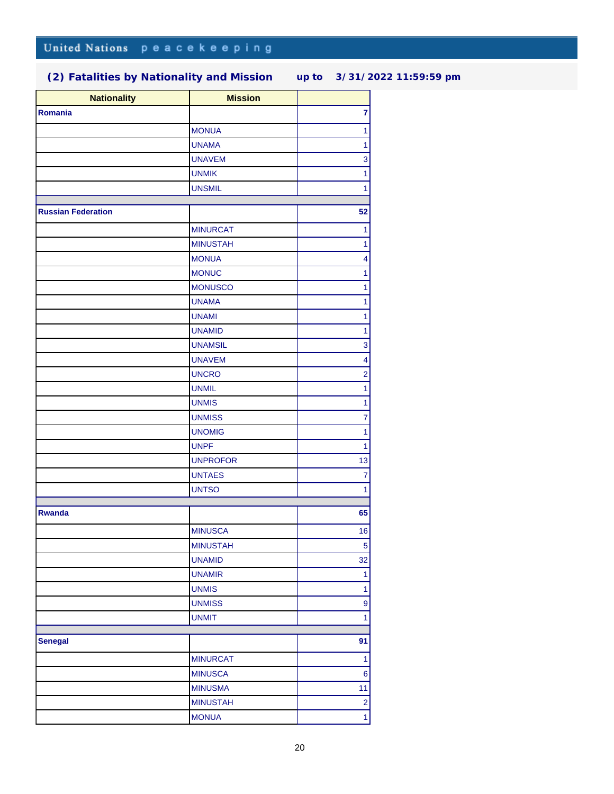| <b>Nationality</b>        | <b>Mission</b>  |                         |
|---------------------------|-----------------|-------------------------|
| Romania                   |                 | $\overline{7}$          |
|                           | <b>MONUA</b>    | $\mathbf{1}$            |
|                           | <b>UNAMA</b>    | $\ddagger$              |
|                           | <b>UNAVEM</b>   | 3                       |
|                           | <b>UNMIK</b>    | $\overline{1}$          |
|                           | <b>UNSMIL</b>   | $\mathbf{1}$            |
|                           |                 |                         |
| <b>Russian Federation</b> |                 | 52                      |
|                           | <b>MINURCAT</b> | 1                       |
|                           | <b>MINUSTAH</b> | $\overline{1}$          |
|                           | <b>MONUA</b>    | 4                       |
|                           | <b>MONUC</b>    | $\mathbf{1}$            |
|                           | <b>MONUSCO</b>  | $\overline{1}$          |
|                           | <b>UNAMA</b>    | 1                       |
|                           | <b>UNAMI</b>    | $\ddagger$              |
|                           | <b>UNAMID</b>   | $\ddagger$              |
|                           | <b>UNAMSIL</b>  | 3                       |
|                           | <b>UNAVEM</b>   | $\overline{\mathbf{4}}$ |
|                           | <b>UNCRO</b>    | $\overline{c}$          |
|                           | <b>UNMIL</b>    | $\ddagger$              |
|                           | <b>UNMIS</b>    | $\overline{1}$          |
|                           | <b>UNMISS</b>   | $\overline{7}$          |
|                           | <b>UNOMIG</b>   | $\overline{1}$          |
|                           | <b>UNPF</b>     | $\mathbf{1}$            |
|                           | <b>UNPROFOR</b> | 13                      |
|                           | <b>UNTAES</b>   | $\overline{7}$          |
|                           | <b>UNTSO</b>    | $\mathbf{1}$            |
|                           |                 |                         |
| <b>Rwanda</b>             |                 | 65                      |
|                           | <b>MINUSCA</b>  | 16                      |
|                           | <b>MINUSTAH</b> | $\overline{5}$          |
|                           | <b>UNAMID</b>   | 32                      |
|                           | <b>UNAMIR</b>   | $\mathbf{1}$            |
|                           | <b>UNMIS</b>    | $\ddagger$              |
|                           | <b>UNMISS</b>   | 9                       |
|                           | <b>UNMIT</b>    | $\overline{1}$          |
| <b>Senegal</b>            |                 | 91                      |
|                           | <b>MINURCAT</b> | $\mathbf{1}$            |
|                           | <b>MINUSCA</b>  | $\bf 6$                 |
|                           | <b>MINUSMA</b>  | 11                      |
|                           | <b>MINUSTAH</b> | $\overline{2}$          |
|                           | <b>MONUA</b>    | $\overline{1}$          |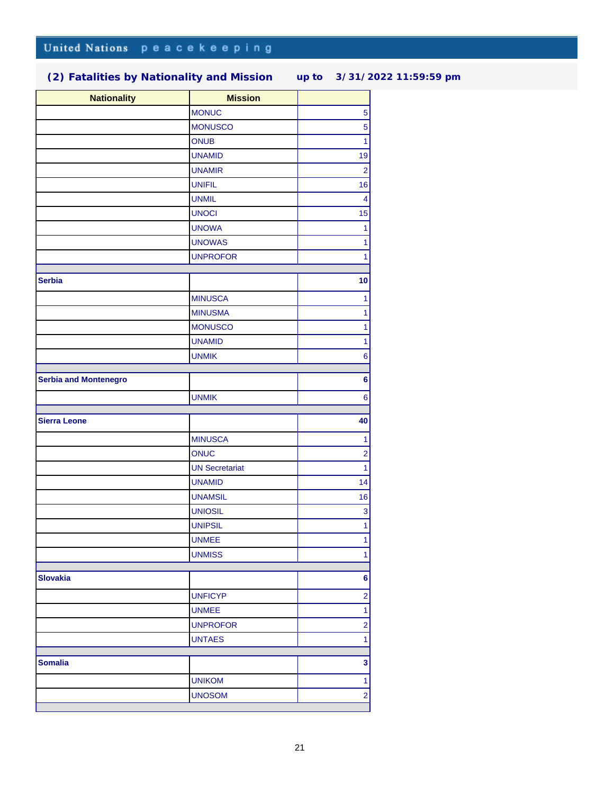| <b>Nationality</b>           | <b>Mission</b>                   |                                                 |
|------------------------------|----------------------------------|-------------------------------------------------|
|                              | <b>MONUC</b>                     | 5                                               |
|                              | <b>MONUSCO</b>                   | 5                                               |
|                              | <b>ONUB</b>                      | $\overline{1}$                                  |
|                              | <b>UNAMID</b>                    | 19                                              |
|                              | <b>UNAMIR</b>                    | $\overline{2}$                                  |
|                              | <b>UNIFIL</b>                    | 16                                              |
|                              | <b>UNMIL</b>                     | 4                                               |
|                              | <b>UNOCI</b>                     | 15                                              |
|                              | <b>UNOWA</b>                     | $\mathbf{1}$                                    |
|                              | <b>UNOWAS</b>                    | $\mathbf{1}$                                    |
|                              | <b>UNPROFOR</b>                  | $\ddot{\phantom{1}}$                            |
| <b>Serbia</b>                |                                  | 10                                              |
|                              | <b>MINUSCA</b>                   | $\mathbf{1}$                                    |
|                              | <b>MINUSMA</b>                   | $\overline{1}$                                  |
|                              | <b>MONUSCO</b>                   | $\ddagger$                                      |
|                              | <b>UNAMID</b>                    | $\overline{1}$                                  |
|                              | <b>UNMIK</b>                     | $\bf 6$                                         |
| <b>Serbia and Montenegro</b> |                                  |                                                 |
|                              |                                  | 6                                               |
|                              | <b>UNMIK</b>                     | $\bf 6$                                         |
| <b>Sierra Leone</b>          |                                  | 40                                              |
|                              | <b>MINUSCA</b>                   | $\overline{1}$                                  |
|                              | ONUC                             | $\overline{c}$                                  |
|                              | <b>UN Secretariat</b>            | $\overline{1}$                                  |
|                              | <b>UNAMID</b>                    | 14                                              |
|                              | <b>UNAMSIL</b>                   | 16                                              |
|                              | <b>UNIOSIL</b>                   | 3                                               |
|                              | <b>UNIPSIL</b>                   | $\ddagger$                                      |
|                              |                                  | 1                                               |
|                              | <b>UNMEE</b>                     |                                                 |
|                              | <b>UNMISS</b>                    | $\overline{1}$                                  |
| <b>Slovakia</b>              |                                  |                                                 |
|                              | <b>UNFICYP</b>                   |                                                 |
|                              |                                  | $\overline{2}$                                  |
|                              | <b>UNMEE</b>                     | $\overline{1}$                                  |
|                              | <b>UNPROFOR</b><br><b>UNTAES</b> | $\overline{2}$<br>$\mathbf{1}$                  |
|                              |                                  |                                                 |
| <b>Somalia</b>               |                                  |                                                 |
|                              | <b>UNIKOM</b>                    | $6\overline{6}$<br>$\mathbf{3}$<br>$\mathbf{1}$ |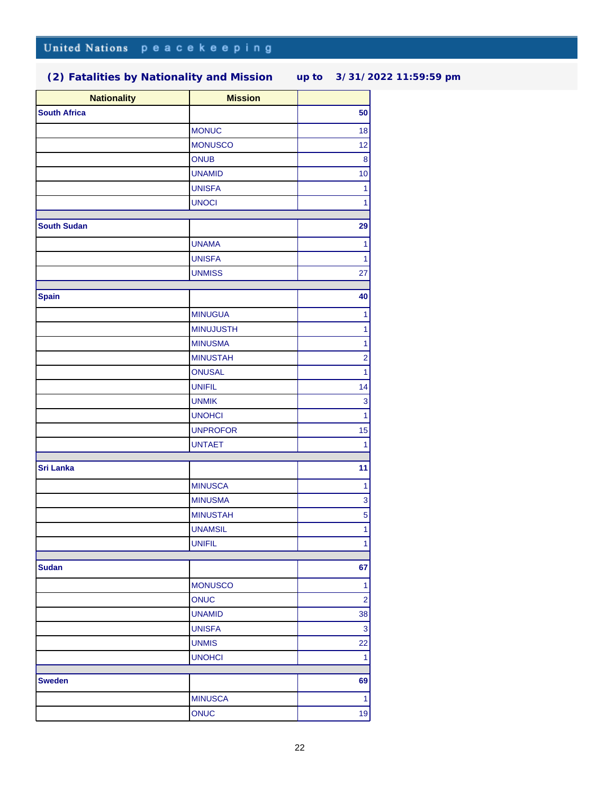| <b>Nationality</b>  | <b>Mission</b>   |                         |
|---------------------|------------------|-------------------------|
| <b>South Africa</b> |                  | 50                      |
|                     | <b>MONUC</b>     | 18                      |
|                     | <b>MONUSCO</b>   | 12                      |
|                     | <b>ONUB</b>      | $\bf8$                  |
|                     | <b>UNAMID</b>    | 10                      |
|                     | <b>UNISFA</b>    | $\overline{1}$          |
|                     | <b>UNOCI</b>     | 1                       |
| <b>South Sudan</b>  |                  | 29                      |
|                     | <b>UNAMA</b>     | $\overline{1}$          |
|                     | <b>UNISFA</b>    | $\overline{1}$          |
|                     | <b>UNMISS</b>    | 27                      |
|                     |                  |                         |
| <b>Spain</b>        |                  | 40                      |
|                     | <b>MINUGUA</b>   | 1                       |
|                     | <b>MINUJUSTH</b> | $\ddot{\phantom{0}}$    |
|                     | <b>MINUSMA</b>   | $\ddagger$              |
|                     | <b>MINUSTAH</b>  | $\overline{2}$          |
|                     | <b>ONUSAL</b>    | $\overline{1}$          |
|                     | <b>UNIFIL</b>    | 14                      |
|                     | <b>UNMIK</b>     | 3                       |
|                     | <b>UNOHCI</b>    | $\overline{1}$          |
|                     | <b>UNPROFOR</b>  | 15                      |
|                     | <b>UNTAET</b>    | 1                       |
| <b>Sri Lanka</b>    |                  | 11                      |
|                     | <b>MINUSCA</b>   | $\overline{1}$          |
|                     | <b>MINUSMA</b>   | 3                       |
|                     | <b>MINUSTAH</b>  | $\overline{5}$          |
|                     | <b>UNAMSIL</b>   | $\overline{1}$          |
|                     | <b>UNIFIL</b>    | 1                       |
|                     |                  |                         |
| <b>Sudan</b>        |                  | 67                      |
|                     | <b>MONUSCO</b>   | $\mathbf{1}$            |
|                     | <b>ONUC</b>      | $\overline{2}$          |
|                     | <b>UNAMID</b>    | 38                      |
|                     | <b>UNISFA</b>    | $\overline{\mathbf{3}}$ |
|                     | <b>UNMIS</b>     | 22                      |
|                     | <b>UNOHCI</b>    | $\mathbf{1}$            |
| <b>Sweden</b>       |                  | 69                      |
|                     | <b>MINUSCA</b>   | $\mathbf{1}$            |
|                     | ONUC             | 19                      |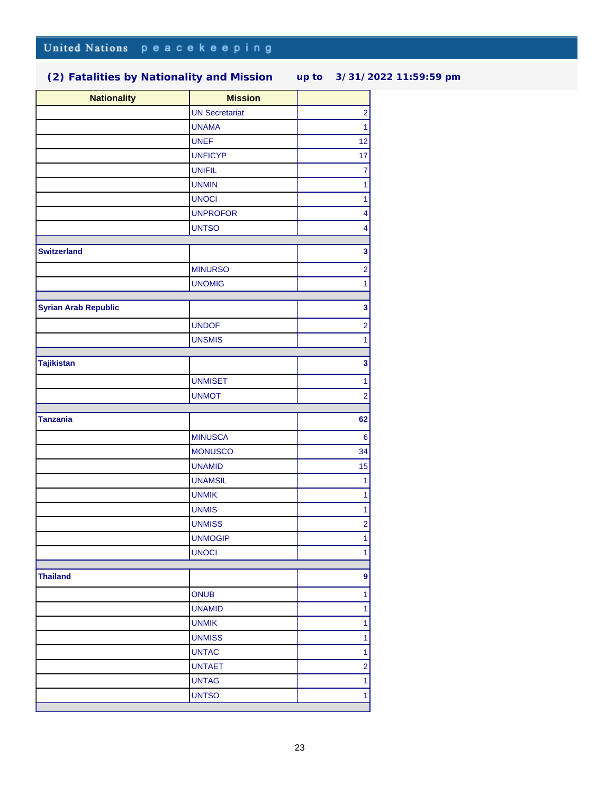| <b>Nationality</b>          | <b>Mission</b>        |                         |
|-----------------------------|-----------------------|-------------------------|
|                             | <b>UN Secretariat</b> | $\overline{\mathbf{c}}$ |
|                             | <b>UNAMA</b>          | $\overline{1}$          |
|                             | <b>UNEF</b>           | 12                      |
|                             | <b>UNFICYP</b>        | 17                      |
|                             | <b>UNIFIL</b>         | $\overline{7}$          |
|                             | <b>UNMIN</b>          | $\ddagger$              |
|                             | <b>UNOCI</b>          | $\overline{1}$          |
|                             | <b>UNPROFOR</b>       | $\overline{\mathbf{4}}$ |
|                             | <b>UNTSO</b>          | $\overline{\mathbf{4}}$ |
| <b>Switzerland</b>          |                       | 3                       |
|                             | <b>MINURSO</b>        | $\overline{2}$          |
|                             | <b>UNOMIG</b>         | $\overline{1}$          |
| <b>Syrian Arab Republic</b> |                       | 3                       |
|                             |                       |                         |
|                             | <b>UNDOF</b>          | $\overline{\mathbf{c}}$ |
|                             | <b>UNSMIS</b>         | $\overline{1}$          |
| <b>Tajikistan</b>           |                       | 3                       |
|                             | <b>UNMISET</b>        | $\ddagger$              |
|                             | <b>UNMOT</b>          | $\overline{2}$          |
|                             |                       |                         |
| <b>Tanzania</b>             |                       | 62                      |
|                             | <b>MINUSCA</b>        | $6 \mid$                |
|                             | <b>MONUSCO</b>        | 34                      |
|                             | <b>UNAMID</b>         | 15                      |
|                             | <b>UNAMSIL</b>        | $\mathbf{1}$            |
|                             | <b>UNMIK</b>          | $\overline{1}$          |
|                             | <b>UNMIS</b>          | $\ddagger$              |
|                             | <b>UNMISS</b>         | $\overline{2}$          |
|                             | <b>UNMOGIP</b>        | $\mathbf{1}$            |
|                             | <b>UNOCI</b>          | $\mathbf{1}$            |
| <b>Thailand</b>             |                       | 9                       |
|                             | <b>ONUB</b>           | $\mathbf{1}$            |
|                             | <b>UNAMID</b>         | $\overline{1}$          |
|                             | <b>UNMIK</b>          | $\mathbf{1}$            |
|                             | <b>UNMISS</b>         | $\mathbf{1}$            |
|                             | <b>UNTAC</b>          | $\overline{1}$          |
|                             | <b>UNTAET</b>         | $\overline{2}$          |
|                             | <b>UNTAG</b>          | $\mathbf{1}$            |
|                             |                       |                         |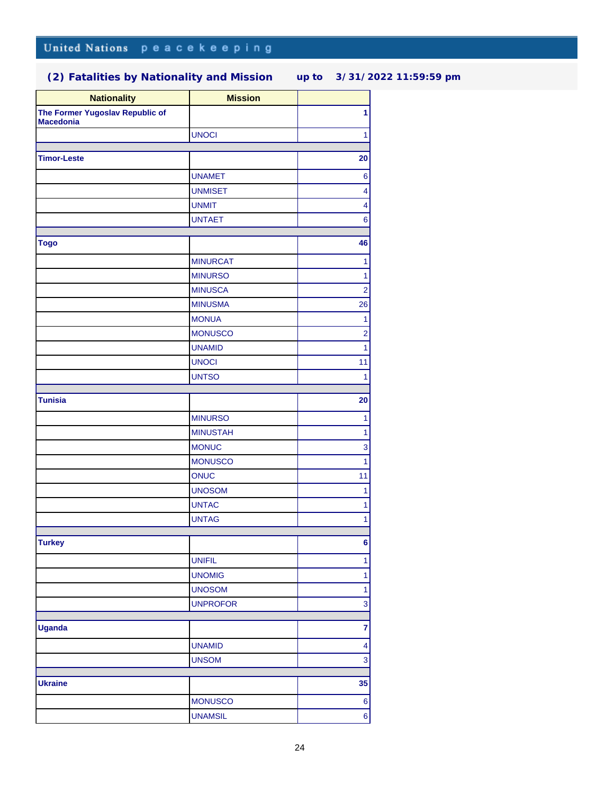| <b>Nationality</b>                                  | <b>Mission</b>  |                          |
|-----------------------------------------------------|-----------------|--------------------------|
| The Former Yugoslav Republic of<br><b>Macedonia</b> |                 | 1                        |
|                                                     | <b>UNOCI</b>    | $\mathbf{1}$             |
|                                                     |                 |                          |
| <b>Timor-Leste</b>                                  |                 | 20                       |
|                                                     | <b>UNAMET</b>   | $\bf 6$                  |
|                                                     | <b>UNMISET</b>  | $\overline{\mathbf{4}}$  |
|                                                     | <b>UNMIT</b>    | 4                        |
|                                                     | <b>UNTAET</b>   | $\overline{6}$           |
| <b>Togo</b>                                         |                 | 46                       |
|                                                     | <b>MINURCAT</b> | 1                        |
|                                                     | <b>MINURSO</b>  | $\ddagger$               |
|                                                     | <b>MINUSCA</b>  | $\overline{2}$           |
|                                                     | <b>MINUSMA</b>  | 26                       |
|                                                     | <b>MONUA</b>    | $\mathbf{1}$             |
|                                                     | <b>MONUSCO</b>  | $\overline{2}$           |
|                                                     | <b>UNAMID</b>   | $\overline{1}$           |
|                                                     | <b>UNOCI</b>    | 11                       |
|                                                     | <b>UNTSO</b>    | $\overline{1}$           |
|                                                     |                 |                          |
| <b>Tunisia</b>                                      |                 | 20                       |
|                                                     | <b>MINURSO</b>  | 1                        |
|                                                     | <b>MINUSTAH</b> | $\overline{1}$           |
|                                                     | <b>MONUC</b>    | 3                        |
|                                                     | <b>MONUSCO</b>  | $\overline{1}$           |
|                                                     | <b>ONUC</b>     | 11                       |
|                                                     | <b>UNOSOM</b>   | 1                        |
|                                                     | <b>UNTAC</b>    | $\ddot{\phantom{1}}$     |
|                                                     | <b>UNTAG</b>    | $\overline{1}$           |
| <b>Turkey</b>                                       |                 | $6\overline{6}$          |
|                                                     | <b>UNIFIL</b>   | $\mathbf{1}$             |
|                                                     | <b>UNOMIG</b>   | $\ddagger$               |
|                                                     | <b>UNOSOM</b>   | $\ddagger$               |
|                                                     | <b>UNPROFOR</b> | 3                        |
|                                                     |                 |                          |
| <b>Uganda</b>                                       |                 | $\overline{\mathbf{7}}$  |
|                                                     | <b>UNAMID</b>   | $\overline{\mathcal{A}}$ |
|                                                     | <b>UNSOM</b>    | 3                        |
| <b>Ukraine</b>                                      |                 | 35                       |
|                                                     | <b>MONUSCO</b>  | $6 \mid$                 |
|                                                     | <b>UNAMSIL</b>  | $6\vert$                 |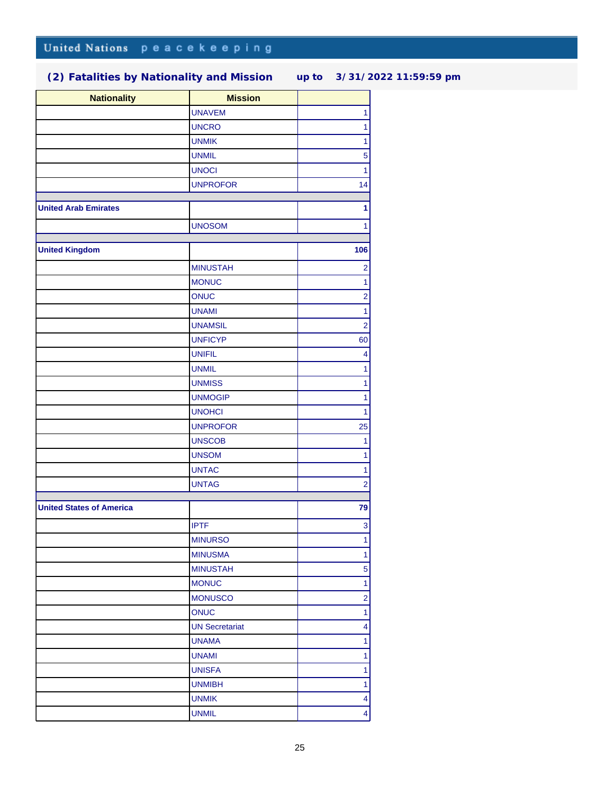| <b>Nationality</b>              | <b>Mission</b>        |                         |
|---------------------------------|-----------------------|-------------------------|
|                                 | <b>UNAVEM</b>         | $\mathbf{1}$            |
|                                 | <b>UNCRO</b>          | $\mathbf{1}$            |
|                                 | <b>UNMIK</b>          | $\overline{1}$          |
|                                 | <b>UNMIL</b>          | 5                       |
|                                 | <b>UNOCI</b>          | $\overline{1}$          |
|                                 | <b>UNPROFOR</b>       | 14                      |
|                                 |                       |                         |
| <b>United Arab Emirates</b>     |                       | 1                       |
|                                 | <b>UNOSOM</b>         | 1                       |
| <b>United Kingdom</b>           |                       | 106                     |
|                                 |                       |                         |
|                                 | <b>MINUSTAH</b>       | $\overline{2}$          |
|                                 | <b>MONUC</b>          | $\mathbf{1}$            |
|                                 | <b>ONUC</b>           | $\overline{2}$          |
|                                 | <b>UNAMI</b>          | $\ddagger$              |
|                                 | <b>UNAMSIL</b>        | $\overline{\mathbf{c}}$ |
|                                 | <b>UNFICYP</b>        | 60                      |
|                                 | <b>UNIFIL</b>         | $\overline{\mathbf{4}}$ |
|                                 | <b>UNMIL</b>          | $\overline{1}$          |
|                                 | <b>UNMISS</b>         | $\mathbf{1}$            |
|                                 | <b>UNMOGIP</b>        | $\mathbf{1}$            |
|                                 | <b>UNOHCI</b>         | $\overline{1}$          |
|                                 | <b>UNPROFOR</b>       | 25                      |
|                                 | <b>UNSCOB</b>         | $\overline{1}$          |
|                                 | <b>UNSOM</b>          | $\mathbf{1}$            |
|                                 | <b>UNTAC</b>          | $\mathbf{1}$            |
|                                 | <b>UNTAG</b>          | $\overline{a}$          |
| <b>United States of America</b> |                       | 79                      |
|                                 |                       |                         |
|                                 | <b>IPTF</b>           | 3                       |
|                                 | <b>MINURSO</b>        | 1                       |
|                                 | <b>MINUSMA</b>        | $\overline{1}$          |
|                                 | <b>MINUSTAH</b>       | 5                       |
|                                 | <b>MONUC</b>          | $\overline{1}$          |
|                                 | <b>MONUSCO</b>        | $\overline{2}$          |
|                                 | <b>ONUC</b>           | $\mathbf{1}$            |
|                                 | <b>UN Secretariat</b> | $\overline{\mathbf{4}}$ |
|                                 | <b>UNAMA</b>          | $\ddagger$              |
|                                 | <b>UNAMI</b>          | $\overline{1}$          |
|                                 | <b>UNISFA</b>         | $\overline{1}$          |
|                                 | <b>UNMIBH</b>         | $\overline{1}$          |
|                                 | <b>UNMIK</b>          | $\overline{\mathbf{4}}$ |
|                                 | <b>UNMIL</b>          | $\overline{\mathbf{4}}$ |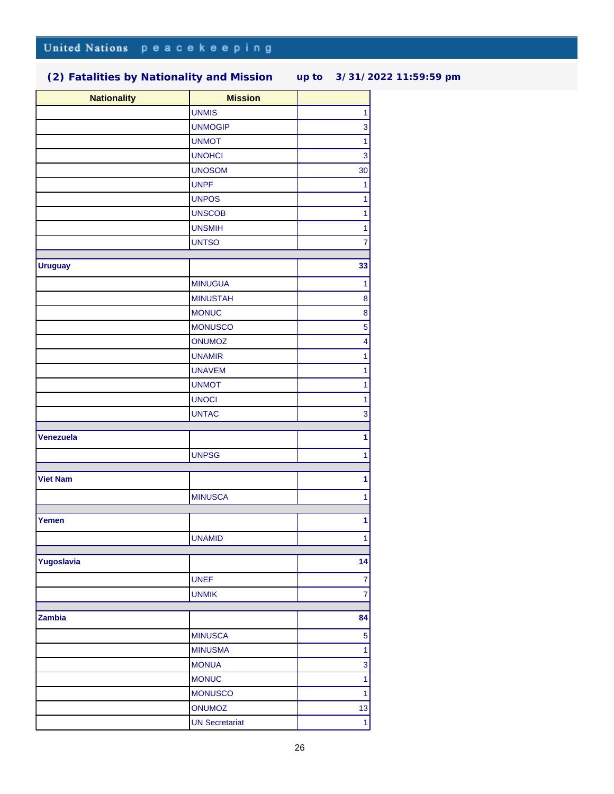| <b>Nationality</b> | <b>Mission</b>        |                         |
|--------------------|-----------------------|-------------------------|
|                    | <b>UNMIS</b>          | $\overline{1}$          |
|                    | <b>UNMOGIP</b>        | 3                       |
|                    | <b>UNMOT</b>          | $\overline{1}$          |
|                    | <b>UNOHCI</b>         | $\overline{3}$          |
|                    | <b>UNOSOM</b>         | 30                      |
|                    | <b>UNPF</b>           | $\overline{1}$          |
|                    | <b>UNPOS</b>          | $\mathbf{1}$            |
|                    | <b>UNSCOB</b>         | $\ddagger$              |
|                    | <b>UNSMIH</b>         | $\ddagger$              |
|                    | <b>UNTSO</b>          | $\overline{7}$          |
|                    |                       |                         |
| <b>Uruguay</b>     |                       | 33                      |
|                    | <b>MINUGUA</b>        | $\mathbf{1}$            |
|                    | <b>MINUSTAH</b>       | 8                       |
|                    | <b>MONUC</b>          | 8                       |
|                    | <b>MONUSCO</b>        | 5                       |
|                    | ONUMOZ                | $\overline{\mathbf{4}}$ |
|                    | <b>UNAMIR</b>         | $\overline{1}$          |
|                    | <b>UNAVEM</b>         | $\ddagger$              |
|                    | <b>UNMOT</b>          | $\ddagger$              |
|                    | <b>UNOCI</b>          | $\ddagger$              |
|                    | <b>UNTAC</b>          | 3                       |
|                    |                       | 1                       |
| <b>Venezuela</b>   |                       |                         |
|                    | <b>UNPSG</b>          | $\ddot{\phantom{1}}$    |
| <b>Viet Nam</b>    |                       | 1                       |
|                    |                       |                         |
|                    | <b>MINUSCA</b>        | $\overline{1}$          |
| Yemen              |                       | 1                       |
|                    | <b>UNAMID</b>         | $\overline{1}$          |
|                    |                       |                         |
| Yugoslavia         |                       | 14                      |
|                    | <b>UNEF</b>           | $\overline{\mathbf{7}}$ |
|                    | <b>UNMIK</b>          | $\overline{7}$          |
|                    |                       |                         |
| Zambia             |                       | 84                      |
|                    | <b>MINUSCA</b>        | $\overline{5}$          |
|                    | <b>MINUSMA</b>        | $\ddagger$              |
|                    | <b>MONUA</b>          | $\overline{3}$          |
|                    | <b>MONUC</b>          | $\ddagger$              |
|                    | <b>MONUSCO</b>        | $\overline{1}$          |
|                    | ONUMOZ                | 13                      |
|                    | <b>UN Secretariat</b> | $\overline{1}$          |